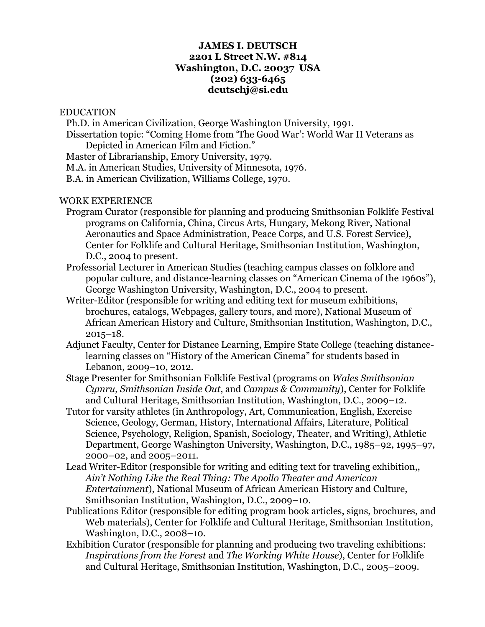### **JAMES I. DEUTSCH 2201 L Street N.W. #814 Washington, D.C. 20037 USA (202) 633-6465 deutschj@si.edu**

#### EDUCATION

 Ph.D. in American Civilization, George Washington University, 1991. Dissertation topic: "Coming Home from 'The Good War': World War II Veterans as Depicted in American Film and Fiction."

Master of Librarianship, Emory University, 1979.

M.A. in American Studies, University of Minnesota, 1976.

B.A. in American Civilization, Williams College, 1970.

#### WORK EXPERIENCE

- Program Curator (responsible for planning and producing Smithsonian Folklife Festival programs on California, China, Circus Arts, Hungary, Mekong River, National Aeronautics and Space Administration, Peace Corps, and U.S. Forest Service), Center for Folklife and Cultural Heritage, Smithsonian Institution, Washington, D.C., 2004 to present.
- Professorial Lecturer in American Studies (teaching campus classes on folklore and popular culture, and distance-learning classes on "American Cinema of the 1960s"), George Washington University, Washington, D.C., 2004 to present.
- Writer-Editor (responsible for writing and editing text for museum exhibitions, brochures, catalogs, Webpages, gallery tours, and more), National Museum of African American History and Culture, Smithsonian Institution, Washington, D.C., 2015–18.
- Adjunct Faculty, Center for Distance Learning, Empire State College (teaching distancelearning classes on "History of the American Cinema" for students based in Lebanon, 2009–10, 2012.
- Stage Presenter for Smithsonian Folklife Festival (programs on *Wales Smithsonian Cymru*, *Smithsonian Inside Out*, and *Campus & Community*), Center for Folklife and Cultural Heritage, Smithsonian Institution, Washington, D.C., 2009–12.
- Tutor for varsity athletes (in Anthropology, Art, Communication, English, Exercise Science, Geology, German, History, International Affairs, Literature, Political Science, Psychology, Religion, Spanish, Sociology, Theater, and Writing), Athletic Department, George Washington University, Washington, D.C., 1985–92, 1995–97, 2000–02, and 2005–2011.
- Lead Writer-Editor (responsible for writing and editing text for traveling exhibition,, *Ain't Nothing Like the Real Thing: The Apollo Theater and American Entertainment*), National Museum of African American History and Culture, Smithsonian Institution, Washington, D.C., 2009–10.
- Publications Editor (responsible for editing program book articles, signs, brochures, and Web materials), Center for Folklife and Cultural Heritage, Smithsonian Institution, Washington, D.C., 2008–10.
- Exhibition Curator (responsible for planning and producing two traveling exhibitions: *Inspirations from the Forest* and *The Working White House*), Center for Folklife and Cultural Heritage, Smithsonian Institution, Washington, D.C., 2005–2009.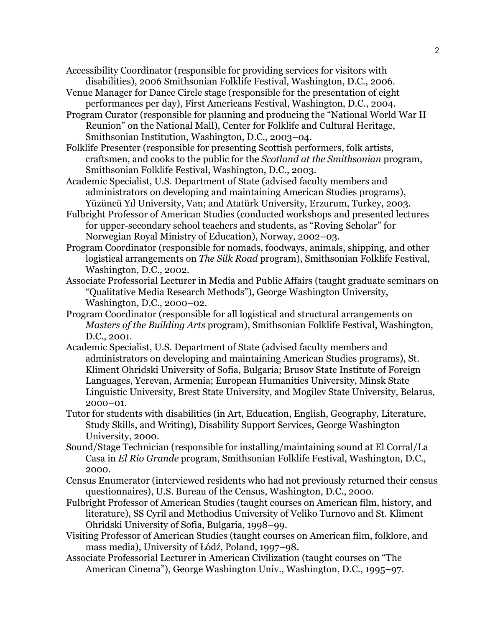Accessibility Coordinator (responsible for providing services for visitors with disabilities), 2006 Smithsonian Folklife Festival, Washington, D.C., 2006.

- Venue Manager for Dance Circle stage (responsible for the presentation of eight performances per day), First Americans Festival, Washington, D.C., 2004.
- Program Curator (responsible for planning and producing the "National World War II Reunion" on the National Mall), Center for Folklife and Cultural Heritage, Smithsonian Institution, Washington, D.C., 2003–04.
- Folklife Presenter (responsible for presenting Scottish performers, folk artists, craftsmen, and cooks to the public for the *Scotland at the Smithsonian* program, Smithsonian Folklife Festival, Washington, D.C., 2003.
- Academic Specialist, U.S. Department of State (advised faculty members and administrators on developing and maintaining American Studies programs), Yüzüncü Yıl University, Van; and Atatürk University, Erzurum, Turkey, 2003.
- Fulbright Professor of American Studies (conducted workshops and presented lectures for upper-secondary school teachers and students, as "Roving Scholar" for Norwegian Royal Ministry of Education), Norway, 2002–03.
- Program Coordinator (responsible for nomads, foodways, animals, shipping, and other logistical arrangements on *The Silk Road* program), Smithsonian Folklife Festival, Washington, D.C., 2002.
- Associate Professorial Lecturer in Media and Public Affairs (taught graduate seminars on "Qualitative Media Research Methods"), George Washington University, Washington, D.C., 2000–02.
- Program Coordinator (responsible for all logistical and structural arrangements on *Masters of the Building Arts* program), Smithsonian Folklife Festival, Washington, D.C., 2001.
- Academic Specialist, U.S. Department of State (advised faculty members and administrators on developing and maintaining American Studies programs), St. Kliment Ohridski University of Sofia, Bulgaria; Brusov State Institute of Foreign Languages, Yerevan, Armenia; European Humanities University, Minsk State Linguistic University, Brest State University, and Mogilev State University, Belarus, 2000–01.
- Tutor for students with disabilities (in Art, Education, English, Geography, Literature, Study Skills, and Writing), Disability Support Services, George Washington University, 2000.
- Sound/Stage Technician (responsible for installing/maintaining sound at El Corral/La Casa in *El Rio Grande* program, Smithsonian Folklife Festival, Washington, D.C., 2000.
- Census Enumerator (interviewed residents who had not previously returned their census questionnaires), U.S. Bureau of the Census, Washington, D.C., 2000.
- Fulbright Professor of American Studies (taught courses on American film, history, and literature), SS Cyril and Methodius University of Veliko Turnovo and St. Kliment Ohridski University of Sofia, Bulgaria, 1998–99.
- Visiting Professor of American Studies (taught courses on American film, folklore, and mass media), University of Łódź, Poland, 1997–98.
- Associate Professorial Lecturer in American Civilization (taught courses on "The American Cinema"), George Washington Univ., Washington, D.C., 1995–97.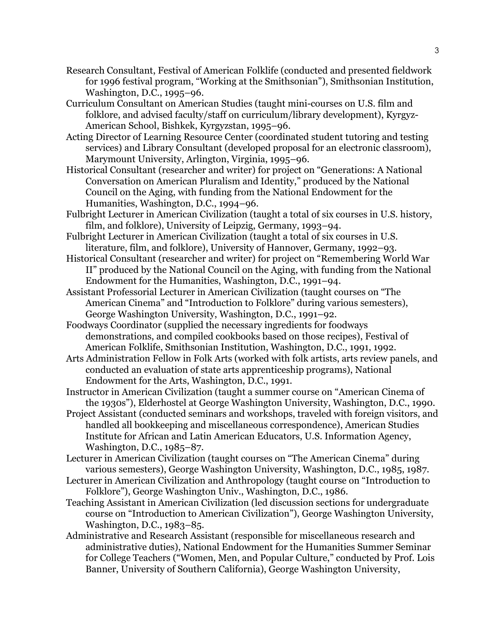- Research Consultant, Festival of American Folklife (conducted and presented fieldwork for 1996 festival program, "Working at the Smithsonian"), Smithsonian Institution, Washington, D.C., 1995–96.
- Curriculum Consultant on American Studies (taught mini-courses on U.S. film and folklore, and advised faculty/staff on curriculum/library development), Kyrgyz-American School, Bishkek, Kyrgyzstan, 1995–96.
- Acting Director of Learning Resource Center (coordinated student tutoring and testing services) and Library Consultant (developed proposal for an electronic classroom), Marymount University, Arlington, Virginia, 1995–96.
- Historical Consultant (researcher and writer) for project on "Generations: A National Conversation on American Pluralism and Identity," produced by the National Council on the Aging, with funding from the National Endowment for the Humanities, Washington, D.C., 1994–96.
- Fulbright Lecturer in American Civilization (taught a total of six courses in U.S. history, film, and folklore), University of Leipzig, Germany, 1993–94.
- Fulbright Lecturer in American Civilization (taught a total of six courses in U.S. literature, film, and folklore), University of Hannover, Germany, 1992–93.
- Historical Consultant (researcher and writer) for project on "Remembering World War II" produced by the National Council on the Aging, with funding from the National Endowment for the Humanities, Washington, D.C., 1991–94.
- Assistant Professorial Lecturer in American Civilization (taught courses on "The American Cinema" and "Introduction to Folklore" during various semesters), George Washington University, Washington, D.C., 1991–92.
- Foodways Coordinator (supplied the necessary ingredients for foodways demonstrations, and compiled cookbooks based on those recipes), Festival of American Folklife, Smithsonian Institution, Washington, D.C., 1991, 1992.
- Arts Administration Fellow in Folk Arts (worked with folk artists, arts review panels, and conducted an evaluation of state arts apprenticeship programs), National Endowment for the Arts, Washington, D.C., 1991.
- Instructor in American Civilization (taught a summer course on "American Cinema of the 1930s"), Elderhostel at George Washington University, Washington, D.C., 1990.
- Project Assistant (conducted seminars and workshops, traveled with foreign visitors, and handled all bookkeeping and miscellaneous correspondence), American Studies Institute for African and Latin American Educators, U.S. Information Agency, Washington, D.C., 1985–87.
- Lecturer in American Civilization (taught courses on "The American Cinema" during various semesters), George Washington University, Washington, D.C., 1985, 1987.
- Lecturer in American Civilization and Anthropology (taught course on "Introduction to Folklore"), George Washington Univ., Washington, D.C., 1986.
- Teaching Assistant in American Civilization (led discussion sections for undergraduate course on "Introduction to American Civilization"), George Washington University, Washington, D.C., 1983–85.
- Administrative and Research Assistant (responsible for miscellaneous research and administrative duties), National Endowment for the Humanities Summer Seminar for College Teachers ("Women, Men, and Popular Culture," conducted by Prof. Lois Banner, University of Southern California), George Washington University,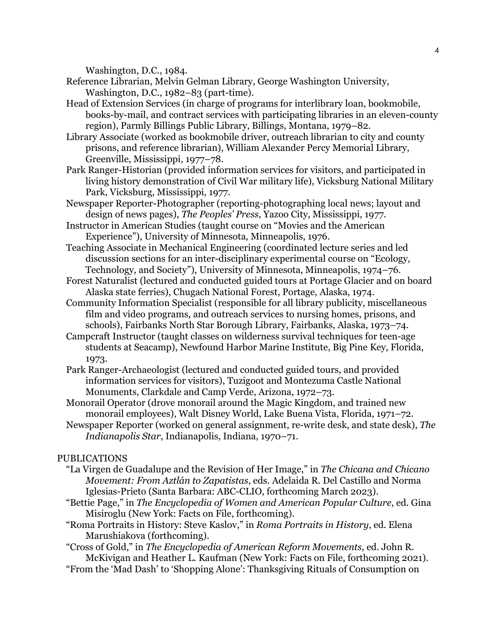Washington, D.C., 1984.

- Reference Librarian, Melvin Gelman Library, George Washington University, Washington, D.C., 1982–83 (part-time).
- Head of Extension Services (in charge of programs for interlibrary loan, bookmobile, books-by-mail, and contract services with participating libraries in an eleven-county region), Parmly Billings Public Library, Billings, Montana, 1979–82.
- Library Associate (worked as bookmobile driver, outreach librarian to city and county prisons, and reference librarian), William Alexander Percy Memorial Library, Greenville, Mississippi, 1977–78.
- Park Ranger-Historian (provided information services for visitors, and participated in living history demonstration of Civil War military life), Vicksburg National Military Park, Vicksburg, Mississippi, 1977.
- Newspaper Reporter-Photographer (reporting-photographing local news; layout and design of news pages), *The Peoples' Press*, Yazoo City, Mississippi, 1977.
- Instructor in American Studies (taught course on "Movies and the American Experience"), University of Minnesota, Minneapolis, 1976.
- Teaching Associate in Mechanical Engineering (coordinated lecture series and led discussion sections for an inter-disciplinary experimental course on "Ecology, Technology, and Society"), University of Minnesota, Minneapolis, 1974–76.
- Forest Naturalist (lectured and conducted guided tours at Portage Glacier and on board Alaska state ferries), Chugach National Forest, Portage, Alaska, 1974.
- Community Information Specialist (responsible for all library publicity, miscellaneous film and video programs, and outreach services to nursing homes, prisons, and schools), Fairbanks North Star Borough Library, Fairbanks, Alaska, 1973–74.
- Campcraft Instructor (taught classes on wilderness survival techniques for teen-age students at Seacamp), Newfound Harbor Marine Institute, Big Pine Key, Florida, 1973.
- Park Ranger-Archaeologist (lectured and conducted guided tours, and provided information services for visitors), Tuzigoot and Montezuma Castle National Monuments, Clarkdale and Camp Verde, Arizona, 1972–73.
- Monorail Operator (drove monorail around the Magic Kingdom, and trained new monorail employees), Walt Disney World, Lake Buena Vista, Florida, 1971–72.
- Newspaper Reporter (worked on general assignment, re-write desk, and state desk), *The Indianapolis Star*, Indianapolis, Indiana, 1970–71.

# PUBLICATIONS

- "La Virgen de Guadalupe and the Revision of Her Image," in *The Chicana and Chicano Movement: From Aztlán to Zapatistas*, eds. Adelaida R. Del Castillo and Norma Iglesias-Prieto (Santa Barbara: ABC-CLIO, forthcoming March 2023).
- "Bettie Page," in *The Encyclopedia of Women and American Popular Culture*, ed. Gina Misiroglu (New York: Facts on File, forthcoming).
- "Roma Portraits in History: Steve Kaslov," in *Roma Portraits in History*, ed. Elena Marushiakova (forthcoming).
- "Cross of Gold," in *The Encyclopedia of American Reform Movements*, ed. John R. McKivigan and Heather L. Kaufman (New York: Facts on File, forthcoming 2021).
- "From the 'Mad Dash' to 'Shopping Alone': Thanksgiving Rituals of Consumption on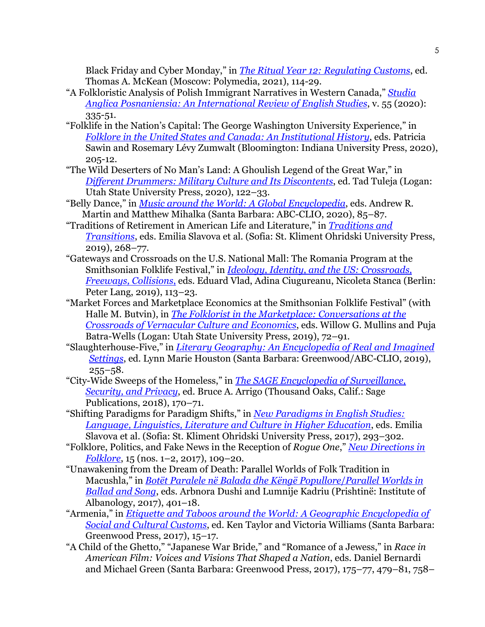Black Friday and Cyber Monday," in *[The Ritual Year 12: Regulating Customs](https://inslav.ru/publication/ritual-year-12-m-2021)*, ed. Thomas A. McKean (Moscow: Polymedia, 2021), 114-29.

- "A Folkloristic Analysis of Polish Immigrant Narratives in Western Canada," *[Studia](https://sciendo.com/article/10.2478/stap-2020-0017)  Anglica Posnaniensia: An [International Review of English Studies](https://sciendo.com/article/10.2478/stap-2020-0017)*, v. 55 (2020): 335-51.
- "Folklife in the Nation's Capital: The George Washington University Experience," in *Folklore in [the United States and Canada:](https://iupress.org/9780253052896/folklore-in-the-united-states-and-canada/) An Institutional History*, eds. Patricia Sawin and Rosemary Lévy Zumwalt (Bloomington: Indiana University Press, 2020), 205-12.
- "The Wild Deserters of No Man's Land: A Ghoulish Legend of the Great War," in *[Different Drummers: Military Culture and Its Discontents](https://upcolorado.com/utah-state-university-press/item/3852-different-drummers)*, ed. Tad Tuleja (Logan: Utah State University Press, 2020), 122–33.
- "Belly Dance," in *[Music around the World: A Global Encyclopedia](https://products.abc-clio.com/abc-cliocorporate/product.aspx?pc=A4196C)*, eds. Andrew R. Martin and Matthew Mihalka (Santa Barbara: ABC-CLIO, 2020), 85–87.
- "Traditions of Retirement in American Life and Literature," in *[Traditions and](https://eas.uni-sofia.bg/traditions-and-transitions/)  [Transitions](https://eas.uni-sofia.bg/traditions-and-transitions/)*, eds. Emilia Slavova et al. (Sofia: St. Kliment Ohridski University Press, 2019), 268–77.
- "Gateways and Crossroads on the U.S. National Mall: The Romania Program at the Smithsonian Folklife Festival," in *[Ideology, Identity, and the US: Crossroads,](https://www.peterlang.com/view/title/72068)  [Freeways, Collisions](https://www.peterlang.com/view/title/72068)*, eds. Eduard Vlad, Adina Ciugureanu, Nicoleta Stanca (Berlin: Peter Lang, 2019), 113–23.
- "Market Forces and Marketplace Economics at the Smithsonian Folklife Festival" (with Halle M. Butvin), in *[The Folklorist in the Marketplace:](https://upcolorado.com/utah-state-university-press/item/3708-the-folklorist-in-the-marketplace) Conversations at the [Crossroads of Vernacular Culture and Economics](https://upcolorado.com/utah-state-university-press/item/3708-the-folklorist-in-the-marketplace)*, eds. Willow G. Mullins and Puja Batra-Wells (Logan: Utah State University Press, 2019), 72–91.
- "Slaughterhouse-Five," in *[Literary Geography: An Encyclopedia of Real and Imagined](https://products.abc-clio.com/abc-cliocorporate/product.aspx?pc=A4991C)  [Settings](https://products.abc-clio.com/abc-cliocorporate/product.aspx?pc=A4991C)*, ed. Lynn Marie Houston (Santa Barbara: Greenwood/ABC-CLIO, 2019),  $255 - 58.$
- "City-Wide Sweeps of the Homeless," in *[The SAGE Encyclopedia of Surveillance,](https://us.sagepub.com/en-us/nam/the-sage-encyclopedia-of-surveillance-security-and-privacy/book244066) [Security, and Privacy](https://us.sagepub.com/en-us/nam/the-sage-encyclopedia-of-surveillance-security-and-privacy/book244066)*, ed. Bruce A. Arrigo (Thousand Oaks, Calif.: Sage Publications, 2018), 170–71.
- "Shifting Paradigms for Paradigm Shifts," in *[New Paradigms in](https://www.researchgate.net/publication/323069427_New_Paradigms_in_English_Studies_Language_Linguistics_Literature_and_Culture_in_Higher_Education) English Studies: [Language, Linguistics, Literature and Culture in Higher Education](https://www.researchgate.net/publication/323069427_New_Paradigms_in_English_Studies_Language_Linguistics_Literature_and_Culture_in_Higher_Education)*, eds. Emilia Slavova et al. (Sofia: St. Kliment Ohridski University Press, 2017), 293–302.
- "Folklore, Politics, and Fake News in the Reception of *Rogue One*," *[New Directions in](https://scholarworks.iu.edu/journals/index.php/ndif/article/view/24292)  [Folklore](https://scholarworks.iu.edu/journals/index.php/ndif/article/view/24292)*, 15 (nos. 1–2, 2017), 109–20.
- "Unawakening from the Dream of Death: Parallel Worlds of Folk Tradition in Macushla," in *[Botët Paralele në Balada dhe](https://bukinist.al/en/te-tjera/7058-botet-paralele-ne-balada-dhe-kenge-popullore.html) Këngë Popullore*/*Parallel Worlds in [Ballad and](https://bukinist.al/en/te-tjera/7058-botet-paralele-ne-balada-dhe-kenge-popullore.html) Song*, eds. Arbnora Dushi and Lumnije Kadriu (Prishtinë: Institute of Albanology, 2017), 401–18.
- "Armenia," in *[Etiquette and Taboos around the World: A Geographic Encyclopedia of](https://products.abc-clio.com/abc-cliocorporate/product.aspx?pc=A4778C)  [Social and Cultural Customs](https://products.abc-clio.com/abc-cliocorporate/product.aspx?pc=A4778C)*, ed. Ken Taylor and Victoria Williams (Santa Barbara: Greenwood Press, 2017), 15–17.
- "A Child of the Ghetto," "Japanese War Bride," and "Romance of a Jewess," in *Race in American Film: Voices and Visions That Shaped a Nation*, eds. Daniel Bernardi and Michael Green (Santa Barbara: Greenwood Press, 2017), 175–77, 479–81, 758–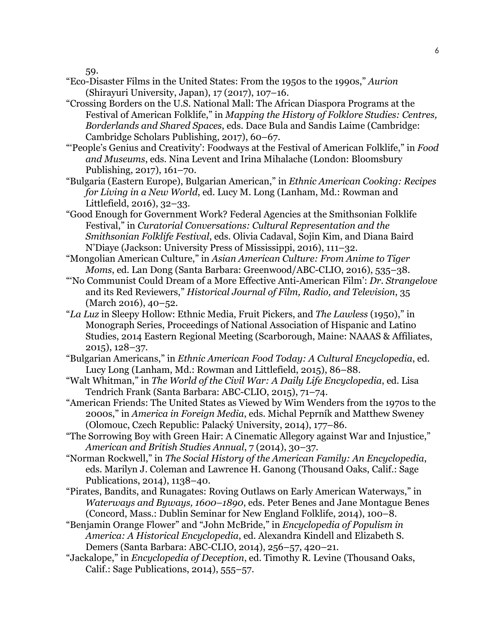59.

- "Eco-Disaster Films in the United States: From the 1950s to the 1990s," *Aurion*  (Shirayuri University, Japan), 17 (2017), 107–16.
- "Crossing Borders on the U.S. National Mall: The African Diaspora Programs at the Festival of American Folklife," in *Mapping the History of Folklore Studies: Centres, Borderlands and Shared Spaces*, eds. Dace Bula and Sandis Laime (Cambridge: Cambridge Scholars Publishing, 2017), 60–67.
- "'People's Genius and Creativity': Foodways at the Festival of American Folklife," in *Food and Museums*, eds. Nina Levent and Irina Mihalache (London: Bloomsbury Publishing, 2017), 161–70.
- "Bulgaria (Eastern Europe), Bulgarian American," in *Ethnic American Cooking: Recipes for Living in a New World*, ed. Lucy M. Long (Lanham, Md.: Rowman and Littlefield, 2016), 32–33.
- "Good Enough for Government Work? Federal Agencies at the Smithsonian Folklife Festival," in *Curatorial Conversations: Cultural Representation and the Smithsonian Folklife Festival*, eds. Olivia Cadaval, Sojin Kim, and Diana Baird N'Diaye (Jackson: University Press of Mississippi, 2016), 111–32.
- "Mongolian American Culture," in *Asian American Culture: From Anime to Tiger Moms*, ed. Lan Dong (Santa Barbara: Greenwood/ABC-CLIO, 2016), 535–38.
- "'No Communist Could Dream of a More Effective Anti-American Film': *Dr. Strangelove* and its Red Reviewers," *Historical Journal of Film, Radio, and Television*, 35 (March 2016), 40–52.
- "*La Luz* in Sleepy Hollow: Ethnic Media, Fruit Pickers, and *The Lawless* (1950)," in Monograph Series, Proceedings of National Association of Hispanic and Latino Studies, 2014 Eastern Regional Meeting (Scarborough, Maine: NAAAS & Affiliates, 2015), 128–37.
- "Bulgarian Americans," in *Ethnic American Food Today: A Cultural Encyclopedia*, ed. Lucy Long (Lanham, Md.: Rowman and Littlefield, 2015), 86–88.
- "Walt Whitman," in *The World of the Civil War: A Daily Life Encyclopedia*, ed. Lisa Tendrich Frank (Santa Barbara: ABC-CLIO, 2015), 71–74.
- "American Friends: The United States as Viewed by Wim Wenders from the 1970s to the 2000s," in *America in Foreign Media*, eds. Michal Peprník and Matthew Sweney (Olomouc, Czech Republic: Palacký University, 2014), 177–86.
- "The Sorrowing Boy with Green Hair: A Cinematic Allegory against War and Injustice," *American and British Studies Annual*, 7 (2014), 30–37.
- "Norman Rockwell," in *The Social History of the American Family: An Encyclopedia*, eds. Marilyn J. Coleman and Lawrence H. Ganong (Thousand Oaks, Calif.: Sage Publications, 2014), 1138–40.
- "Pirates, Bandits, and Runagates: Roving Outlaws on Early American Waterways," in *Waterways and Byways, 1600–1890*, eds. Peter Benes and Jane Montague Benes (Concord, Mass.: Dublin Seminar for New England Folklife, 2014), 100–8.
- "Benjamin Orange Flower" and "John McBride," in *Encyclopedia of Populism in America: A Historical Encyclopedia*, ed. Alexandra Kindell and Elizabeth S. Demers (Santa Barbara: ABC-CLIO, 2014), 256–57, 420–21.
- "Jackalope," in *Encyclopedia of Deception*, ed. Timothy R. Levine (Thousand Oaks, Calif.: Sage Publications, 2014), 555–57.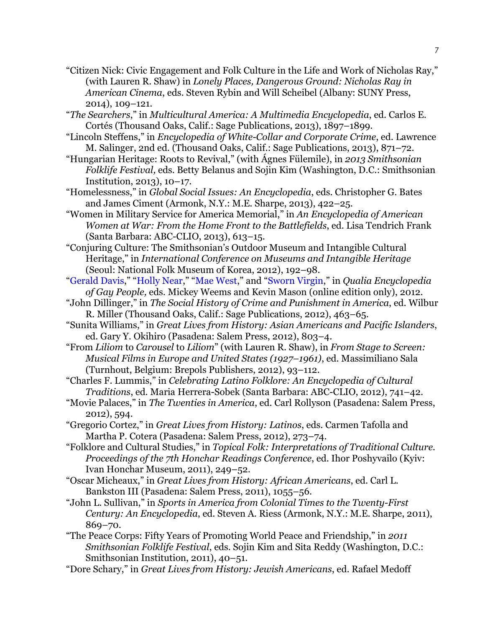- "Citizen Nick: Civic Engagement and Folk Culture in the Life and Work of Nicholas Ray," (with Lauren R. Shaw) in *Lonely Places, Dangerous Ground: Nicholas Ray in American Cinema*, eds. Steven Rybin and Will Scheibel (Albany: SUNY Press, 2014), 109–121.
- "*The Searchers*," in *Multicultural America: A Multimedia Encyclopedia*, ed. Carlos E. Cortés (Thousand Oaks, Calif.: Sage Publications, 2013), 1897–1899.
- "Lincoln Steffens," in *Encyclopedia of White-Collar and Corporate Crime*, ed. Lawrence M. Salinger, 2nd ed. (Thousand Oaks, Calif.: Sage Publications, 2013), 871–72.
- "Hungarian Heritage: Roots to Revival," (with Ágnes Fülemile), in *2013 Smithsonian Folklife Festival,* eds. Betty Belanus and Sojin Kim (Washington, D.C.: Smithsonian Institution, 2013), 10–17.
- "Homelessness," in *Global Social Issues: An Encyclopedia*, eds. Christopher G. Bates and James Ciment (Armonk, N.Y.: M.E. Sharpe, 2013), 422–25.
- "Women in Military Service for America Memorial," in *An Encyclopedia of American Women at War: From the Home Front to the Battlefields*, ed. Lisa Tendrich Frank (Santa Barbara: ABC-CLIO, 2013), 613–15.
- "Conjuring Culture: The Smithsonian's Outdoor Museum and Intangible Cultural Heritage," in *International Conference on Museums and Intangible Heritage* (Seoul: National Folk Museum of Korea, 2012), 192–98.
- ["Gerald Davis,](http://www.qualiafolk.com/2011/12/08/gerald-davis/)" ["Holly Near,](http://www.qualiafolk.com/2011/12/08/holly-near/)" ["Mae West,](http://www.qualiafolk.com/2011/12/08/mae-west/)" and ["Sworn Virgin,](http://www.qualiafolk.com/2011/12/08/sworn-virgin/)" in *Qualia Encyclopedia of Gay People,* eds. Mickey Weems and Kevin Mason (online edition only), 2012.
- "John Dillinger," in *The Social History of Crime and Punishment in America*, ed. Wilbur R. Miller (Thousand Oaks, Calif.: Sage Publications, 2012), 463–65.
- "Sunita Williams," in *Great Lives from History: Asian Americans and Pacific Islanders*, ed. Gary Y. Okihiro (Pasadena: Salem Press, 2012), 803–4.
- "From *Liliom* to *Carousel* to *Liliom*" (with Lauren R. Shaw), in *From Stage to Screen: Musical Films in Europe and United States (1927–1961)*, ed. Massimiliano Sala (Turnhout, Belgium: Brepols Publishers, 2012), 93–112.
- "Charles F. Lummis," in *Celebrating Latino Folklore: An Encyclopedia of Cultural Traditions*, ed. Maria Herrera-Sobek (Santa Barbara: ABC-CLIO, 2012), 741–42.
- "Movie Palaces," in *The Twenties in America*, ed. Carl Rollyson (Pasadena: Salem Press, 2012), 594.
- "Gregorio Cortez," in *Great Lives from History: Latinos*, eds. Carmen Tafolla and Martha P. Cotera (Pasadena: Salem Press, 2012), 273–74.
- "Folklore and Cultural Studies," in *Topical Folk: Interpretations of Traditional Culture. Proceedings of the 7th Honchar Readings Conference*, ed. Ihor Poshyvailo (Kyiv: Ivan Honchar Museum, 2011), 249–52.
- "Oscar Micheaux," in *Great Lives from History: African Americans*, ed. Carl L. Bankston III (Pasadena: Salem Press, 2011), 1055–56.
- "John L. Sullivan," in *Sports in America from Colonial Times to the Twenty-First Century: An Encyclopedia*, ed. Steven A. Riess (Armonk, N.Y.: M.E. Sharpe, 2011), 869–70.
- "The Peace Corps: Fifty Years of Promoting World Peace and Friendship," in *2011 Smithsonian Folklife Festival*, eds. Sojin Kim and Sita Reddy (Washington, D.C.: Smithsonian Institution, 2011), 40–51.
- "Dore Schary," in *Great Lives from History: Jewish Americans*, ed. Rafael Medoff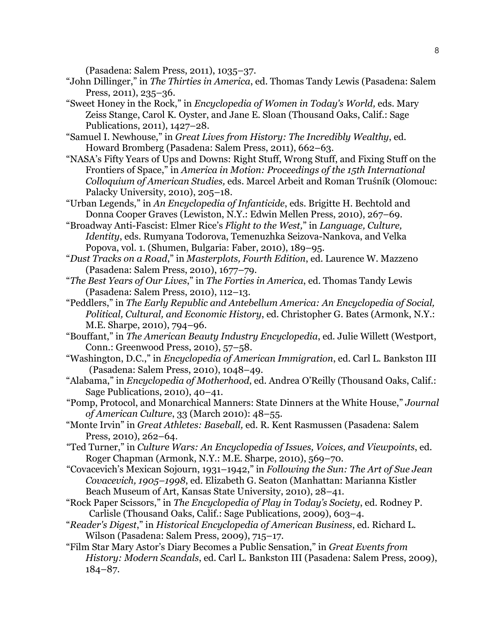(Pasadena: Salem Press, 2011), 1035–37.

- "John Dillinger," in *The Thirties in America*, ed. Thomas Tandy Lewis (Pasadena: Salem Press, 2011), 235–36.
- "Sweet Honey in the Rock," in *Encyclopedia of Women in Today's World,* eds. Mary Zeiss Stange, Carol K. Oyster, and Jane E. Sloan (Thousand Oaks, Calif.: Sage Publications, 2011), 1427–28.
- "Samuel I. Newhouse," in *Great Lives from History: The Incredibly Wealthy*, ed. Howard Bromberg (Pasadena: Salem Press, 2011), 662–63.
- "NASA's Fifty Years of Ups and Downs: Right Stuff, Wrong Stuff, and Fixing Stuff on the Frontiers of Space," in *America in Motion: Proceedings of the 15th International Colloquium of American Studies,* eds. Marcel Arbeit and Roman Truśník (Olomouc: Palacky University, 2010), 205–18.
- "Urban Legends," in *An Encyclopedia of Infanticide*, eds. Brigitte H. Bechtold and Donna Cooper Graves (Lewiston, N.Y.: Edwin Mellen Press, 2010), 267–69.
- "Broadway Anti-Fascist: Elmer Rice's *Flight to the West,*" in *Language, Culture, Identity*, eds. Rumyana Todorova, Temenuzhka Seizova-Nankova, and Velka Popova, vol. 1. (Shumen, Bulgaria: Faber, 2010), 189–95.
- "*Dust Tracks on a Road*," in *Masterplots, Fourth Edition*, ed. Laurence W. Mazzeno (Pasadena: Salem Press, 2010), 1677–79.
- "*The Best Years of Our Lives*," in *The Forties in America*, ed. Thomas Tandy Lewis (Pasadena: Salem Press, 2010), 112–13.
- "Peddlers," in *The Early Republic and Antebellum America: An Encyclopedia of Social, Political, Cultural, and Economic History*, ed. Christopher G. Bates (Armonk, N.Y.: M.E. Sharpe, 2010), 794–96.
- "Bouffant," in *The American Beauty Industry Encyclopedia*, ed. Julie Willett (Westport, Conn.: Greenwood Press, 2010), 57–58.
- "Washington, D.C.," in *Encyclopedia of American Immigration*, ed. Carl L. Bankston III (Pasadena: Salem Press, 2010), 1048–49.
- "Alabama," in *Encyclopedia of Motherhood*, ed. Andrea O'Reilly (Thousand Oaks, Calif.: Sage Publications, 2010), 40–41.
- "Pomp, Protocol, and Monarchical Manners: State Dinners at the White House," *Journal of American Culture*, 33 (March 2010): 48–55.
- "Monte Irvin" in *Great Athletes: Baseball,* ed. R. Kent Rasmussen (Pasadena: Salem Press, 2010), 262–64.
- "Ted Turner," in *Culture Wars: An Encyclopedia of Issues, Voices, and Viewpoints*, ed. Roger Chapman (Armonk, N.Y.: M.E. Sharpe, 2010), 569–70.
- "Covacevich's Mexican Sojourn, 1931–1942," in *Following the Sun: The Art of Sue Jean Covacevich, 1905–1998*, ed. Elizabeth G. Seaton (Manhattan: Marianna Kistler Beach Museum of Art, Kansas State University, 2010), 28–41.
- "Rock Paper Scissors," in *The Encyclopedia of Play in Today's Society*, ed. Rodney P. Carlisle (Thousand Oaks, Calif.: Sage Publications, 2009), 603–4.
- "*Reader's Digest*," in *Historical Encyclopedia of American Business*, ed. Richard L. Wilson (Pasadena: Salem Press, 2009), 715–17.
- "Film Star Mary Astor's Diary Becomes a Public Sensation," in *Great Events from History: Modern Scandals*, ed. Carl L. Bankston III (Pasadena: Salem Press, 2009), 184–87.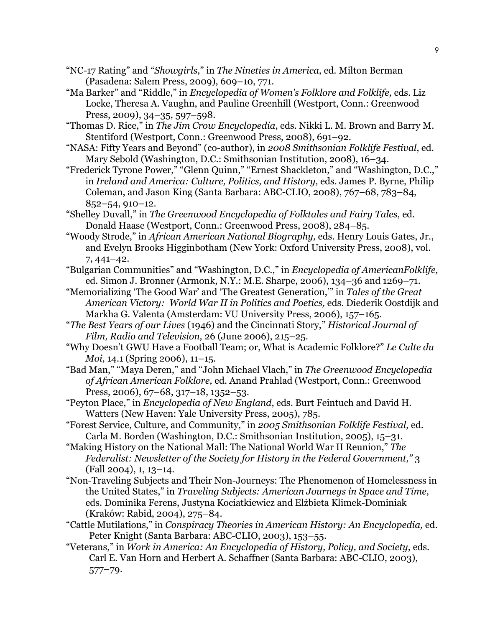- "NC-17 Rating" and "*Showgirls*," in *The Nineties in America*, ed. Milton Berman (Pasadena: Salem Press, 2009), 609–10, 771.
- "Ma Barker" and "Riddle," in *Encyclopedia of Women's Folklore and Folklife,* eds. Liz Locke, Theresa A. Vaughn, and Pauline Greenhill (Westport, Conn.: Greenwood Press, 2009), 34–35, 597–598.

 "Thomas D. Rice," in *The Jim Crow Encyclopedia*, eds. Nikki L. M. Brown and Barry M. Stentiford (Westport, Conn.: Greenwood Press, 2008), 691–92.

- "NASA: Fifty Years and Beyond" (co-author), in *2008 Smithsonian Folklife Festival*, ed. Mary Sebold (Washington, D.C.: Smithsonian Institution, 2008), 16–34.
- "Frederick Tyrone Power," "Glenn Quinn," "Ernest Shackleton," and "Washington, D.C.," in *Ireland and America: Culture, Politics, and History,* eds. James P. Byrne, Philip Coleman, and Jason King (Santa Barbara: ABC-CLIO, 2008), 767–68, 783–84, 852–54, 910–12.
- "Shelley Duvall," in *The Greenwood Encyclopedia of Folktales and Fairy Tales,* ed. Donald Haase (Westport, Conn.: Greenwood Press, 2008), 284–85.
- "Woody Strode," in *African American National Biography,* eds. Henry Louis Gates, Jr., and Evelyn Brooks Higginbotham (New York: Oxford University Press, 2008), vol. 7, 441–42.
- "Bulgarian Communities" and "Washington, D.C.," in *Encyclopedia of AmericanFolklife,*  ed. Simon J. Bronner (Armonk, N.Y.: M.E. Sharpe, 2006), 134–36 and 1269–71.
- "Memorializing 'The Good War' and 'The Greatest Generation,'" in *Tales of the Great American Victory: World War II in Politics and Poetics,* eds. Diederik Oostdijk and Markha G. Valenta (Amsterdam: VU University Press, 2006), 157–165.
- "*The Best Years of our Lives* (1946) and the Cincinnati Story," *Historical Journal of Film, Radio and Television,* 26 (June 2006), 215–25.
- "Why Doesn't GWU Have a Football Team; or, What is Academic Folklore?" *Le Culte du Moi,* 14.1 (Spring 2006), 11–15.
- "Bad Man," "Maya Deren," and "John Michael Vlach," in *The Greenwood Encyclopedia of African American Folklore,* ed. Anand Prahlad (Westport, Conn.: Greenwood Press, 2006), 67–68, 317–18, 1352–53.
- "Peyton Place," in *Encyclopedia of New England*, eds. Burt Feintuch and David H. Watters (New Haven: Yale University Press, 2005), 785.
- "Forest Service, Culture, and Community," in *2005 Smithsonian Folklife Festival,* ed. Carla M. Borden (Washington, D.C.: Smithsonian Institution, 2005), 15–31.
- "Making History on the National Mall: The National World War II Reunion," *The Federalist: Newsletter of the Society for History in the Federal Government,"* 3 (Fall 2004), 1, 13–14.
- "Non-Traveling Subjects and Their Non-Journeys: The Phenomenon of Homelessness in the United States," in *Traveling Subjects: American Journeys in Space and Time,* eds. Dominika Ferens, Justyna Kociatkiewicz and Elżbieta Klimek-Dominiak (Kraków: Rabid, 2004), 275–84.
- "Cattle Mutilations," in *Conspiracy Theories in American History: An Encyclopedia,* ed. Peter Knight (Santa Barbara: ABC-CLIO, 2003), 153–55.
- "Veterans," in *Work in America: An Encyclopedia of History, Policy, and Society*, eds. Carl E. Van Horn and Herbert A. Schaffner (Santa Barbara: ABC-CLIO, 2003), 577–79.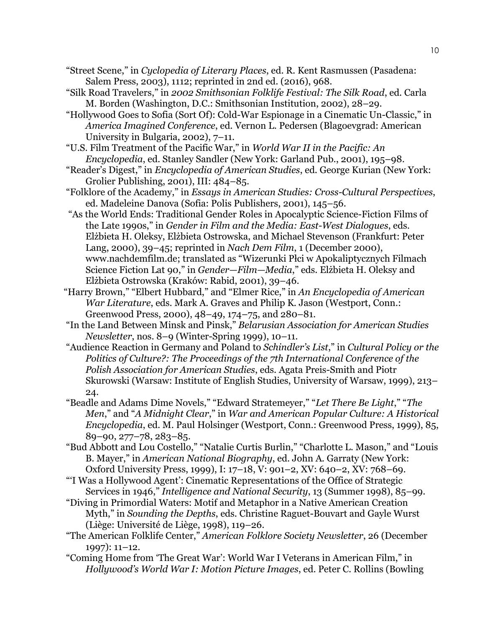- "Street Scene," in *Cyclopedia of Literary Places*, ed. R. Kent Rasmussen (Pasadena: Salem Press, 2003), 1112; reprinted in 2nd ed. (2016), 968.
- "Silk Road Travelers," in *2002 Smithsonian Folklife Festival: The Silk Road*, ed. Carla M. Borden (Washington, D.C.: Smithsonian Institution, 2002), 28–29.
- "Hollywood Goes to Sofia (Sort Of): Cold-War Espionage in a Cinematic Un-Classic," in *America Imagined Conference*, ed. Vernon L. Pedersen (Blagoevgrad: American University in Bulgaria, 2002), 7–11.
- "U.S. Film Treatment of the Pacific War," in *World War II in the Pacific: An Encyclopedia*, ed. Stanley Sandler (New York: Garland Pub., 2001), 195–98.
- "Reader's Digest," in *Encyclopedia of American Studies*, ed. George Kurian (New York: Grolier Publishing, 2001), III: 484–85.
- "Folklore of the Academy," in *Essays in American Studies: Cross-Cultural Perspectives*, ed. Madeleine Danova (Sofia: Polis Publishers, 2001), 145–56.
- "As the World Ends: Traditional Gender Roles in Apocalyptic Science-Fiction Films of the Late 1990s," in *Gender in Film and the Media: East-West Dialogues*, eds. Elżbieta H. Oleksy, Elżbieta Ostrowska, and Michael Stevenson (Frankfurt: Peter Lang, 2000), 39–45; reprinted in *Nach Dem Film*, 1 (December 2000), www.nachdemfilm.de; translated as "Wizerunki Płci w Apokaliptycznych Filmach Science Fiction Lat 90," in *Gender—Film—Media*," eds. Elżbieta H. Oleksy and Elżbieta Ostrowska (Kraków: Rabid, 2001), 39–46.
- "Harry Brown," "Elbert Hubbard," and "Elmer Rice," in *An Encyclopedia of American War Literature*, eds. Mark A. Graves and Philip K. Jason (Westport, Conn.: Greenwood Press, 2000), 48–49, 174–75, and 280–81.
- "In the Land Between Minsk and Pinsk," *Belarusian Association for American Studies Newsletter*, nos. 8–9 (Winter-Spring 1999), 10–11.
- "Audience Reaction in Germany and Poland to *Schindler's List*," in *Cultural Policy or the Politics of Culture?: The Proceedings of the 7th International Conference of the Polish Association for American Studies*, eds. Agata Preis-Smith and Piotr Skurowski (Warsaw: Institute of English Studies, University of Warsaw, 1999), 213– 24.
- "Beadle and Adams Dime Novels," "Edward Stratemeyer," "*Let There Be Light*," "*The Men*," and "*A Midnight Clear*," in *War and American Popular Culture: A Historical Encyclopedia*, ed. M. Paul Holsinger (Westport, Conn.: Greenwood Press, 1999), 85, 89–90, 277–78, 283–85.
- "Bud Abbott and Lou Costello," "Natalie Curtis Burlin," "Charlotte L. Mason," and "Louis B. Mayer," in *American National Biography*, ed. John A. Garraty (New York: Oxford University Press, 1999), I: 17–18, V: 901–2, XV: 640–2, XV: 768–69.
- "'I Was a Hollywood Agent': Cinematic Representations of the Office of Strategic Services in 1946," *Intelligence and National Security*, 13 (Summer 1998), 85–99.
- "Diving in Primordial Waters: Motif and Metaphor in a Native American Creation Myth," in *Sounding the Depths*, eds. Christine Raguet-Bouvart and Gayle Wurst (Liège: Université de Liège, 1998), 119–26.
- "The American Folklife Center," *American Folklore Society Newsletter*, 26 (December 1997): 11–12.
- "Coming Home from 'The Great War': World War I Veterans in American Film," in *Hollywood's World War I: Motion Picture Images*, ed. Peter C. Rollins (Bowling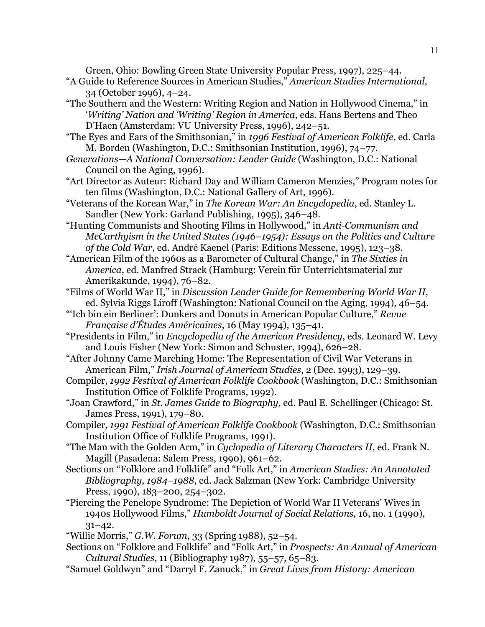Green, Ohio: Bowling Green State University Popular Press, 1997), 225–44.

- "A Guide to Reference Sources in American Studies," *American Studies International*, 34 (October 1996), 4–24.
- "The Southern and the Western: Writing Region and Nation in Hollywood Cinema," in '*Writing' Nation and 'Writing' Region in America*, eds. Hans Bertens and Theo D'Haen (Amsterdam: VU University Press, 1996), 242–51.
- "The Eyes and Ears of the Smithsonian," in *1996 Festival of American Folklife*, ed. Carla M. Borden (Washington, D.C.: Smithsonian Institution, 1996), 74–77.
- *Generations—A National Conversation: Leader Guide* (Washington, D.C.: National Council on the Aging, 1996).
- "Art Director as Auteur: Richard Day and William Cameron Menzies," Program notes for ten films (Washington, D.C.: National Gallery of Art, 1996).
- "Veterans of the Korean War," in *The Korean War: An Encyclopedia*, ed. Stanley L. Sandler (New York: Garland Publishing, 1995), 346–48.
- "Hunting Communists and Shooting Films in Hollywood," in *Anti-Communism and McCarthyism in the United States (1946–1954): Essays on the Politics and Culture of the Cold War*, ed. André Kaenel (Paris: Editions Messene, 1995), 123–38.
- "American Film of the 1960s as a Barometer of Cultural Change," in *The Sixties in America*, ed. Manfred Strack (Hamburg: Verein für Unterrichtsmaterial zur Amerikakunde, 1994), 76–82.
- "Films of World War II," in *Discussion Leader Guide for Remembering World War II*, ed. Sylvia Riggs Liroff (Washington: National Council on the Aging, 1994), 46–54.
- "'Ich bin ein Berliner': Dunkers and Donuts in American Popular Culture," *Revue Française d'Études Américaines*, 16 (May 1994), 135–41.
- "Presidents in Film," in *Encyclopedia of the American Presidency*, eds. Leonard W. Levy and Louis Fisher (New York: Simon and Schuster, 1994), 626–28.
- "After Johnny Came Marching Home: The Representation of Civil War Veterans in American Film," *Irish Journal of American Studies*, 2 (Dec. 1993), 129–39.
- Compiler, *1992 Festival of American Folklife Cookbook* (Washington, D.C.: Smithsonian Institution Office of Folklife Programs, 1992).
- "Joan Crawford," in *St. James Guide to Biography*, ed. Paul E. Schellinger (Chicago: St. James Press, 1991), 179–80.
- Compiler, *1991 Festival of American Folklife Cookbook* (Washington, D.C.: Smithsonian Institution Office of Folklife Programs, 1991).
- "The Man with the Golden Arm," in *Cyclopedia of Literary Characters II*, ed. Frank N. Magill (Pasadena: Salem Press, 1990), 961–62.
- Sections on "Folklore and Folklife" and "Folk Art," in *American Studies: An Annotated Bibliography, 1984–1988*, ed. Jack Salzman (New York: Cambridge University Press, 1990), 183–200, 254–302.
- "Piercing the Penelope Syndrome: The Depiction of World War II Veterans' Wives in 1940s Hollywood Films," *Humboldt Journal of Social Relations*, 16, no. 1 (1990),  $31-42.$
- "Willie Morris," *G.W. Forum*, 33 (Spring 1988), 52–54.
- Sections on "Folklore and Folklife" and "Folk Art," in *Prospects: An Annual of American Cultural Studies*, 11 (Bibliography 1987), 55–57, 65–83.
- "Samuel Goldwyn" and "Darryl F. Zanuck," in *Great Lives from History: American*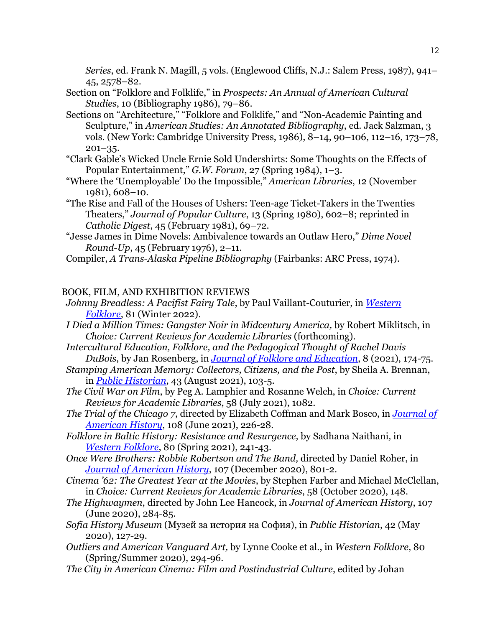*Series*, ed. Frank N. Magill, 5 vols. (Englewood Cliffs, N.J.: Salem Press, 1987), 941– 45, 2578–82.

- Section on "Folklore and Folklife," in *Prospects: An Annual of American Cultural Studies*, 10 (Bibliography 1986), 79–86.
- Sections on "Architecture," "Folklore and Folklife," and "Non-Academic Painting and Sculpture," in *American Studies: An Annotated Bibliography*, ed. Jack Salzman, 3 vols. (New York: Cambridge University Press, 1986), 8–14, 90–106, 112–16, 173–78,  $201 - 35.$
- "Clark Gable's Wicked Uncle Ernie Sold Undershirts: Some Thoughts on the Effects of Popular Entertainment," *G.W. Forum*, 27 (Spring 1984), 1–3.
- "Where the 'Unemployable' Do the Impossible," *American Libraries*, 12 (November 1981), 608–10.
- "The Rise and Fall of the Houses of Ushers: Teen-age Ticket-Takers in the Twenties Theaters," *Journal of Popular Culture*, 13 (Spring 1980), 602–8; reprinted in *Catholic Digest*, 45 (February 1981), 69–72.
- "Jesse James in Dime Novels: Ambivalence towards an Outlaw Hero," *Dime Novel Round-Up*, 45 (February 1976), 2–11.

Compiler, *A Trans-Alaska Pipeline Bibliography* (Fairbanks: ARC Press, 1974).

## BOOK, FILM, AND EXHIBITION REVIEWS

- *Johnny Breadless: A Pacifist Fairy Tale*, by Paul Vaillant-Couturier, in *[Western](http://www.westernfolklore.org/WFPreview.html#:%7E:text=Johnny%20Breadless%3A%20A%20Pacifist%20Fairy%20Tale.)  [Folklore](http://www.westernfolklore.org/WFPreview.html#:%7E:text=Johnny%20Breadless%3A%20A%20Pacifist%20Fairy%20Tale.)*, 81 (Winter 2022).
- *I Died a Million Times: Gangster Noir in Midcentury America,* by Robert Miklitsch, in *Choice: Current Reviews for Academic Libraries* (forthcoming).
- *Intercultural Education, Folklore, and the Pedagogical Thought of Rachel Davis DuBois*, by Jan Rosenberg, in *[Journal of Folklore and Education](https://jfepublications.org/article/journal-of-folklore-and-education-2021-reviews/)*, 8 (2021), 174-75.
- *Stamping American Memory: Collectors, Citizens, and the Post*, by Sheila A. Brennan, in *[Public Historian](https://online.ucpress.edu/tph/article-abstract/43/3/103/118065/Review-Stamping-American-Memory-Collectors)*, 43 (August 2021), 103-5.
- *The Civil War on Film*, by Peg A. Lamphier and Rosanne Welch, in *Choice: Current Reviews for Academic Libraries*, 58 (July 2021), 1082.
- *The Trial of the Chicago 7*, directed by Elizabeth Coffman and Mark Bosco, in *[Journal of](https://academic.oup.com/jah/article/108/1/226/6295244)  [American History](https://academic.oup.com/jah/article/108/1/226/6295244)*, 108 (June 2021), 226-28.
- *Folklore in Baltic History: Resistance and Resurgence,* by Sadhana Naithani*,* in *[Western Folklore](http://westernfolklore.org/WFCurrent.html)*, 80 (Spring 2021), 241-43.
- *Once Were Brothers: Robbie Robertson and The Band,* directed by Daniel Roher, in *[Journal of American History](https://academic.oup.com/jah/article/107/3/801/6020465)*, 107 (December 2020), 801-2.
- *Cinema '62: The Greatest Year at the Movies*, by Stephen Farber and Michael McClellan, in *Choice: Current Reviews for Academic Libraries*, 58 (October 2020), 148.
- *The Highwaymen*, directed by John Lee Hancock, in *Journal of American History*, 107 (June 2020), 284-85.
- *Sofia History Museum* (Музей за история на София), in *Public Historian*, 42 (May 2020), 127-29.
- *Outliers and American Vanguard Art,* by Lynne Cooke et al., in *Western Folklore*, 80 (Spring/Summer 2020), 294-96.
- *The City in American Cinema: Film and Postindustrial Culture*, edited by Johan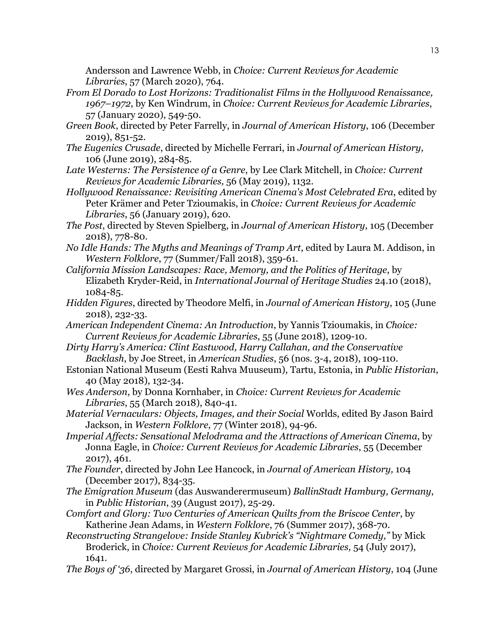Andersson and Lawrence Webb, in *Choice: Current Reviews for Academic Libraries*, 57 (March 2020), 764.

- *From El Dorado to Lost Horizons: Traditionalist Films in the Hollywood Renaissance, 1967–1972*, by Ken Windrum, in *Choice: Current Reviews for Academic Libraries*, 57 (January 2020), 549-50.
- *Green Book*, directed by Peter Farrelly, in *Journal of American History*, 106 (December 2019), 851-52.
- *The Eugenics Crusade*, directed by Michelle Ferrari, in *Journal of American History*, 106 (June 2019), 284-85.
- *Late Westerns: The Persistence of a Genre*, by Lee Clark Mitchell, in *Choice: Current Reviews for Academic Libraries,* 56 (May 2019), 1132.
- *Hollywood Renaissance: Revisiting American Cinema's Most Celebrated Era*, edited by Peter Krämer and Peter Tzioumakis, in *Choice: Current Reviews for Academic Libraries*, 56 (January 2019), 620.
- *The Post*, directed by Steven Spielberg, in *Journal of American History*, 105 (December 2018), 778-80.
- *No Idle Hands: The Myths and Meanings of Tramp Art*, edited by Laura M. Addison, in *Western Folklore*, 77 (Summer/Fall 2018), 359-61.
- *California Mission Landscapes: Race, Memory, and the Politics of Heritage*, by Elizabeth Kryder-Reid, in *International Journal of Heritage Studies* 24.10 (2018), 1084-85.
- *Hidden Figures*, directed by Theodore Melfi, in *Journal of American History*, 105 (June 2018), 232-33.
- *American Independent Cinema: An Introduction*, by Yannis Tzioumakis, in *Choice: Current Reviews for Academic Libraries*, 55 (June 2018), 1209-10.
- *Dirty Harry's America: Clint Eastwood, Harry Callahan, and the Conservative Backlash*, by Joe Street, in *American Studies*, 56 (nos. 3-4, 2018), 109-110.
- Estonian National Museum (Eesti Rahva Muuseum), Tartu, Estonia, in *Public Historian*, 40 (May 2018), 132-34.
- *Wes Anderson*, by Donna Kornhaber, in *Choice: Current Reviews for Academic Libraries*, 55 (March 2018), 840-41.
- *Material Vernaculars: Objects, Images, and their Social* Worlds, edited By Jason Baird Jackson, in *Western Folklore*, 77 (Winter 2018), 94-96.
- *Imperial Affects: Sensational Melodrama and the Attractions of American Cinema*, by Jonna Eagle, in *Choice: Current Reviews for Academic Libraries*, 55 (December 2017), 461.
- *The Founder*, directed by John Lee Hancock, in *Journal of American History,* 104 (December 2017), 834-35.
- *The Emigration Museum* (das Auswanderermuseum) *BallinStadt Hamburg, Germany*, in *Public Historian*, 39 (August 2017), 25-29.
- *Comfort and Glory: Two Centuries of American Quilts from the Briscoe Center*, by Katherine Jean Adams, in *Western Folklore*, 76 (Summer 2017), 368-70.
- *Reconstructing Strangelove: Inside Stanley Kubrick's "Nightmare Comedy,"* by Mick Broderick, in *Choice: Current Reviews for Academic Libraries,* 54 (July 2017), 1641.
- *The Boys of '36*, directed by Margaret Grossi, in *Journal of American History*, 104 (June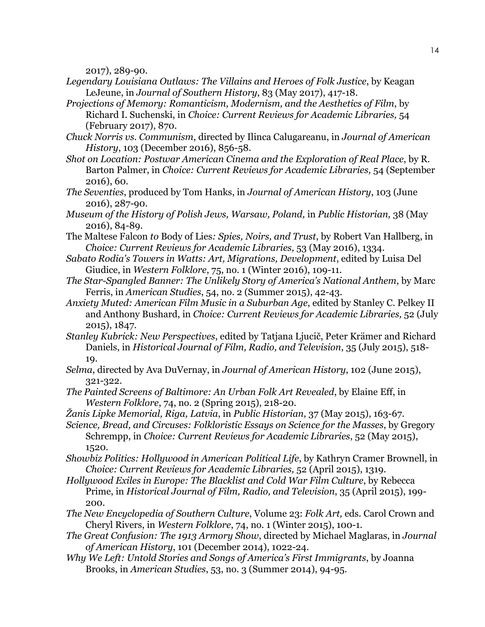2017), 289-90.

- *Legendary Louisiana Outlaws: The Villains and Heroes of Folk Justice*, by Keagan LeJeune, in *Journal of Southern History*, 83 (May 2017), 417-18.
- *Projections of Memory: Romanticism, Modernism, and the Aesthetics of Film*, by Richard I. Suchenski, in *Choice: Current Reviews for Academic Libraries,* 54 (February 2017), 870.
- *Chuck Norris vs. Communism*, directed by Ilinca Calugareanu, in *Journal of American History*, 103 (December 2016), 856-58.
- *Shot on Location: Postwar American Cinema and the Exploration of Real Place*, by R. Barton Palmer, in *Choice: Current Reviews for Academic Libraries,* 54 (September 2016), 60.
- *The Seventies*, produced by Tom Hanks, in *Journal of American History*, 103 (June 2016), 287-90.
- *Museum of the History of Polish Jews, Warsaw, Poland,* in *Public Historian,* 38 (May 2016), 84-89.
- The Maltese Falcon *to* Body of Lies*: Spies, Noirs, and Trust*, by Robert Van Hallberg, in *Choice: Current Reviews for Academic Libraries,* 53 (May 2016), 1334.
- *Sabato Rodia's Towers in Watts: Art, Migrations, Development*, edited by Luisa Del Giudice, in *Western Folklore*, 75, no. 1 (Winter 2016), 109-11.
- *The Star-Spangled Banner: The Unlikely Story of America's National Anthem*, by Marc Ferris, in *American Studies*, 54, no. 2 (Summer 2015), 42-43.
- *Anxiety Muted: American Film Music in a Suburban Age*, edited by Stanley C. Pelkey II and Anthony Bushard, in *Choice: Current Reviews for Academic Libraries,* 52 (July 2015), 1847.
- *Stanley Kubrick: New Perspectives*, edited by Tatjana Ljucič, Peter Krämer and Richard Daniels, in *Historical Journal of Film, Radio, and Television*, 35 (July 2015), 518- 19.
- *Selma*, directed by Ava DuVernay, in *Journal of American History*, 102 (June 2015), 321-322.
- *The Painted Screens of Baltimore: An Urban Folk Art Revealed*, by Elaine Eff, in *Western Folklore*, 74, no. 2 (Spring 2015), 218-20.
- *Žanis Lipke Memorial, Riga, Latvia*, in *Public Historian,* 37 (May 2015), 163-67.
- *Science, Bread, and Circuses: Folkloristic Essays on Science for the Masses*, by Gregory Schrempp, in *Choice: Current Reviews for Academic Libraries*, 52 (May 2015), 1520.
- *Showbiz Politics: Hollywood in American Political Life*, by Kathryn Cramer Brownell, in *Choice: Current Reviews for Academic Libraries,* 52 (April 2015), 1319.
- *Hollywood Exiles in Europe: The Blacklist and Cold War Film Culture*, by Rebecca Prime, in *Historical Journal of Film, Radio, and Television*, 35 (April 2015), 199- 200.
- *The New Encyclopedia of Southern Culture*, Volume 23: *Folk Art,* eds. Carol Crown and Cheryl Rivers, in *Western Folklore*, 74, no. 1 (Winter 2015), 100-1.
- *The Great Confusion: The 1913 Armory Show*, directed by Michael Maglaras, in *Journal of American History*, 101 (December 2014), 1022-24.
- *Why We Left: Untold Stories and Songs of America's First Immigrants*, by Joanna Brooks, in *American Studies*, 53, no. 3 (Summer 2014), 94-95.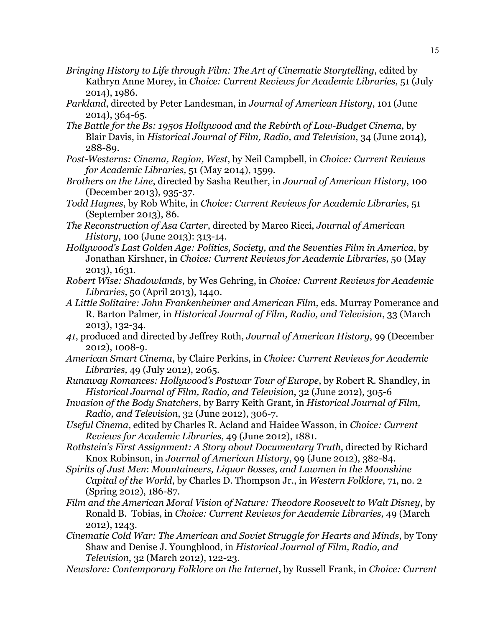- *Bringing History to Life through Film: The Art of Cinematic Storytelling*, edited by Kathryn Anne Morey, in *Choice: Current Reviews for Academic Libraries,* 51 (July 2014), 1986.
- *Parkland*, directed by Peter Landesman, in *Journal of American History*, 101 (June 2014), 364-65.
- *The Battle for the Bs: 1950s Hollywood and the Rebirth of Low-Budget Cinema*, by Blair Davis, in *Historical Journal of Film, Radio, and Television*, 34 (June 2014), 288-89.
- *Post-Westerns: Cinema, Region, West*, by Neil Campbell, in *Choice: Current Reviews for Academic Libraries,* 51 (May 2014), 1599.
- *Brothers on the Line*, directed by Sasha Reuther, in *Journal of American History*, 100 (December 2013), 935-37.
- *Todd Haynes*, by Rob White, in *Choice: Current Reviews for Academic Libraries,* 51 (September 2013), 86.
- *The Reconstruction of Asa Carter*, directed by Marco Ricci, *Journal of American History*, 100 (June 2013): 313-14.
- *Hollywood's Last Golden Age: Politics, Society, and the Seventies Film in America*, by Jonathan Kirshner, in *Choice: Current Reviews for Academic Libraries,* 50 (May 2013), 1631.
- *Robert Wise: Shadowlands*, by Wes Gehring, in *Choice: Current Reviews for Academic Libraries,* 50 (April 2013), 1440.
- *A Little Solitaire: John Frankenheimer and American Film,* eds. Murray Pomerance and R. Barton Palmer*,* in *Historical Journal of Film, Radio, and Television*, 33 (March 2013), 132-34.
- *41*, produced and directed by Jeffrey Roth, *Journal of American History*, 99 (December 2012), 1008-9.
- *American Smart Cinema*, by Claire Perkins, in *Choice: Current Reviews for Academic Libraries,* 49 (July 2012), 2065.
- *Runaway Romances: Hollywood's Postwar Tour of Europe*, by Robert R. Shandley, in *Historical Journal of Film, Radio, and Television*, 32 (June 2012), 305-6
- *Invasion of the Body Snatchers*, by Barry Keith Grant, in *Historical Journal of Film, Radio, and Television*, 32 (June 2012), 306-7.
- *Useful Cinema*, edited by Charles R. Acland and Haidee Wasson, in *Choice: Current Reviews for Academic Libraries,* 49 (June 2012), 1881.
- *Rothstein's First Assignment: A Story about Documentary Truth*, directed by Richard Knox Robinson, in *Journal of American History*, 99 (June 2012), 382-84.
- *Spirits of Just Men*: *Mountaineers, Liquor Bosses, and Lawmen in the Moonshine Capital of the World*, by Charles D. Thompson Jr., in *Western Folklore*, 71, no. 2 (Spring 2012), 186-87.
- *Film and the American Moral Vision of Nature: Theodore Roosevelt to Walt Disney*, by Ronald B. Tobias, in *Choice: Current Reviews for Academic Libraries,* 49 (March 2012), 1243.
- *Cinematic Cold War: The American and Soviet Struggle for Hearts and Minds*, by Tony Shaw and Denise J. Youngblood, in *Historical Journal of Film, Radio, and Television*, 32 (March 2012), 122-23.
- *Newslore: Contemporary Folklore on the Internet*, by Russell Frank, in *Choice: Current*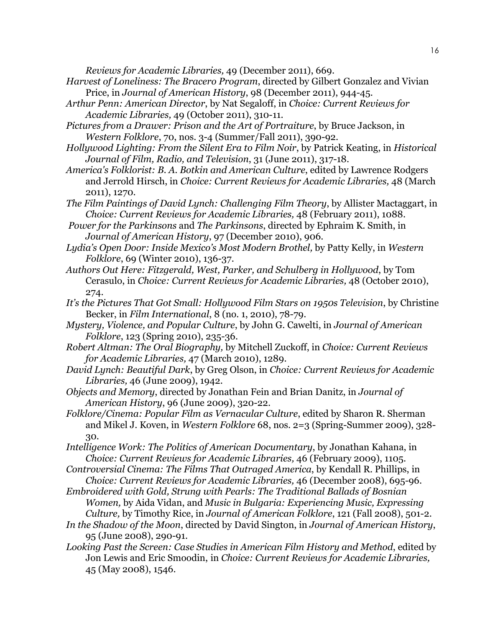*Reviews for Academic Libraries,* 49 (December 2011), 669.

- *Harvest of Loneliness: The Bracero Program*, directed by Gilbert Gonzalez and Vivian Price, in *Journal of American History*, 98 (December 2011), 944-45.
- *Arthur Penn: American Director*, by Nat Segaloff, in *Choice: Current Reviews for Academic Libraries,* 49 (October 2011), 310-11.
- *Pictures from a Drawer: Prison and the Art of Portraiture*, by Bruce Jackson, in *Western Folklore*, 70, nos. 3-4 (Summer/Fall 2011), 390-92.
- *Hollywood Lighting: From the Silent Era to Film Noir*, by Patrick Keating, in *Historical Journal of Film, Radio, and Television*, 31 (June 2011), 317-18.
- *America's Folklorist: B. A. Botkin and American Culture*, edited by Lawrence Rodgers and Jerrold Hirsch, in *Choice: Current Reviews for Academic Libraries,* 48 (March 2011), 1270.
- *The Film Paintings of David Lynch: Challenging Film Theory*, by Allister Mactaggart, in *Choice: Current Reviews for Academic Libraries,* 48 (February 2011), 1088.
- *Power for the Parkinsons* and *The Parkinsons*, directed by Ephraim K. Smith, in *Journal of American History*, 97 (December 2010), 906.
- *Lydia's Open Door: Inside Mexico's Most Modern Brothel,* by Patty Kelly, in *Western Folklore*, 69 (Winter 2010), 136-37.
- *Authors Out Here: Fitzgerald, West, Parker, and Schulberg in Hollywood*, by Tom Cerasulo, in *Choice: Current Reviews for Academic Libraries,* 48 (October 2010), 274.
- *It's the Pictures That Got Small: Hollywood Film Stars on 1950s Television*, by Christine Becker, in *Film International*, 8 (no. 1, 2010), 78-79.
- *Mystery, Violence, and Popular Culture*, by John G. Cawelti, in *Journal of American Folklore*, 123 (Spring 2010), 235-36.
- *Robert Altman: The Oral Biography,* by Mitchell Zuckoff, in *Choice: Current Reviews for Academic Libraries,* 47 (March 2010), 1289.
- *David Lynch: Beautiful Dark*, by Greg Olson, in *Choice: Current Reviews for Academic Libraries,* 46 (June 2009), 1942.
- *Objects and Memory*, directed by Jonathan Fein and Brian Danitz, in *Journal of American History*, 96 (June 2009), 320-22.
- *Folklore/Cinema: Popular Film as Vernacular Culture*, edited by Sharon R. Sherman and Mikel J. Koven, in *Western Folklore* 68, nos. 2=3 (Spring-Summer 2009), 328- 30.
- *Intelligence Work: The Politics of American Documentary*, by Jonathan Kahana, in *Choice: Current Reviews for Academic Libraries,* 46 (February 2009), 1105.
- *Controversial Cinema: The Films That Outraged America*, by Kendall R. Phillips, in *Choice: Current Reviews for Academic Libraries,* 46 (December 2008), 695-96.
- *Embroidered with Gold, Strung with Pearls: The Traditional Ballads of Bosnian Women,* by Aida Vidan, and *Music in Bulgaria: Experiencing Music, Expressing Culture,* by Timothy Rice, in *Journal of American Folklore*, 121 (Fall 2008), 501-2.
- *In the Shadow of the Moon*, directed by David Sington, in *Journal of American History*, 95 (June 2008), 290-91.
- *Looking Past the Screen: Case Studies in American Film History and Method*, edited by Jon Lewis and Eric Smoodin, in *Choice: Current Reviews for Academic Libraries,* 45 (May 2008), 1546.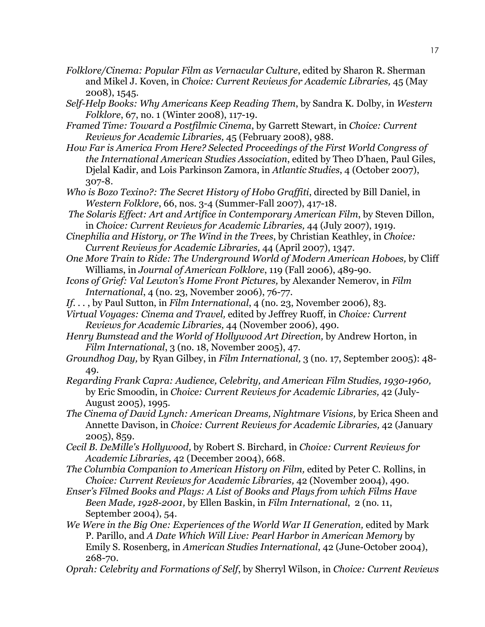- *Folklore/Cinema: Popular Film as Vernacular Culture*, edited by Sharon R. Sherman and Mikel J. Koven, in *Choice: Current Reviews for Academic Libraries,* 45 (May 2008), 1545.
- *Self-Help Books: Why Americans Keep Reading Them*, by Sandra K. Dolby, in *Western Folklore*, 67, no. 1 (Winter 2008), 117-19.
- *Framed Time: Toward a Postfilmic Cinema*, by Garrett Stewart, in *Choice: Current Reviews for Academic Libraries,* 45 (February 2008), 988.
- *How Far is America From Here? Selected Proceedings of the First World Congress of the International American Studies Association*, edited by Theo D'haen, Paul Giles, Djelal Kadir, and Lois Parkinson Zamora, in *Atlantic Studies*, 4 (October 2007), 307-8.
- *Who is Bozo Texino?: The Secret History of Hobo Graffiti*, directed by Bill Daniel, in *Western Folklore*, 66, nos. 3-4 (Summer-Fall 2007), 417-18.
- *The Solaris Effect: Art and Artifice in Contemporary American Film*, by Steven Dillon, in *Choice: Current Reviews for Academic Libraries,* 44 (July 2007), 1919.
- *Cinephilia and History, or The Wind in the Trees*, by Christian Keathley, in *Choice: Current Reviews for Academic Libraries,* 44 (April 2007), 1347.
- *One More Train to Ride: The Underground World of Modern American Hoboes,* by Cliff Williams, in *Journal of American Folklore*, 119 (Fall 2006), 489-90.
- *Icons of Grief: Val Lewton's Home Front Pictures,* by Alexander Nemerov, in *Film International*, 4 (no. 23, November 2006), 76-77.
- *If. . .* , by Paul Sutton, in *Film International*, 4 (no. 23, November 2006), 83.
- *Virtual Voyages: Cinema and Travel,* edited by Jeffrey Ruoff, in *Choice: Current Reviews for Academic Libraries,* 44 (November 2006), 490.
- *Henry Bumstead and the World of Hollywood Art Direction,* by Andrew Horton, in *Film International*, 3 (no. 18, November 2005), 47.
- *Groundhog Day,* by Ryan Gilbey, in *Film International,* 3 (no. 17, September 2005): 48- 49.
- *Regarding Frank Capra: Audience, Celebrity, and American Film Studies, 1930-1960,*  by Eric Smoodin, in *Choice: Current Reviews for Academic Libraries,* 42 (July-August 2005), 1995.
- *The Cinema of David Lynch: American Dreams, Nightmare Visions,* by Erica Sheen and Annette Davison, in *Choice: Current Reviews for Academic Libraries,* 42 (January 2005), 859.
- *Cecil B. DeMille's Hollywood,* by Robert S. Birchard, in *Choice: Current Reviews for Academic Libraries,* 42 (December 2004), 668.
- *The Columbia Companion to American History on Film,* edited by Peter C. Rollins, in *Choice: Current Reviews for Academic Libraries,* 42 (November 2004), 490.
- *Enser's Filmed Books and Plays: A List of Books and Plays from which Films Have Been Made, 1928-2001,* by Ellen Baskin, in *Film International*, 2 (no. 11, September 2004), 54.
- *We Were in the Big One: Experiences of the World War II Generation, edited by Mark* P. Parillo, and *A Date Which Will Live: Pearl Harbor in American Memory* by Emily S. Rosenberg, in *American Studies International*, 42 (June-October 2004), 268-70.
- *Oprah: Celebrity and Formations of Self*, by Sherryl Wilson, in *Choice: Current Reviews*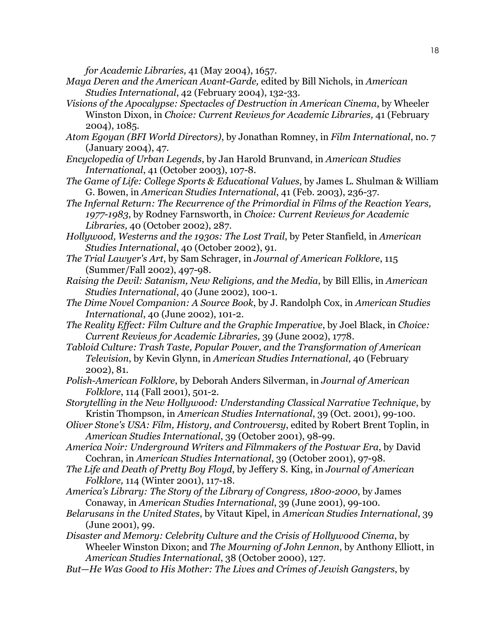*for Academic Libraries,* 41 (May 2004), 1657.

- *Maya Deren and the American Avant-Garde,* edited by Bill Nichols, in *American Studies International*, 42 (February 2004), 132-33.
- *Visions of the Apocalypse: Spectacles of Destruction in American Cinema*, by Wheeler Winston Dixon, in *Choice: Current Reviews for Academic Libraries,* 41 (February 2004), 1085.
- *Atom Egoyan (BFI World Directors)*, by Jonathan Romney, in *Film International*, no. 7 (January 2004), 47.
- *Encyclopedia of Urban Legends*, by Jan Harold Brunvand, in *American Studies International*, 41 (October 2003), 107-8.
- *The Game of Life: College Sports & Educational Values*, by James L. Shulman & William G. Bowen, in *American Studies International*, 41 (Feb. 2003), 236-37.
- *The Infernal Return: The Recurrence of the Primordial in Films of the Reaction Years, 1977-1983*, by Rodney Farnsworth, in *Choice: Current Reviews for Academic Libraries,* 40 (October 2002), 287.
- *Hollywood, Westerns and the 1930s: The Lost Trail*, by Peter Stanfield, in *American Studies International*, 40 (October 2002), 91.
- *The Trial Lawyer's Art*, by Sam Schrager, in *Journal of American Folklore*, 115 (Summer/Fall 2002), 497-98.
- *Raising the Devil: Satanism, New Religions, and the Media*, by Bill Ellis, in *American Studies International*, 40 (June 2002), 100-1.
- *The Dime Novel Companion: A Source Book*, by J. Randolph Cox, in *American Studies International*, 40 (June 2002), 101-2.
- *The Reality Effect: Film Culture and the Graphic Imperative*, by Joel Black, in *Choice: Current Reviews for Academic Libraries,* 39 (June 2002), 1778.
- *Tabloid Culture: Trash Taste, Popular Power, and the Transformation of American Television*, by Kevin Glynn, in *American Studies International*, 40 (February 2002), 81.
- *Polish-American Folklore*, by Deborah Anders Silverman, in *Journal of American Folklore*, 114 (Fall 2001), 501-2.
- *Storytelling in the New Hollywood: Understanding Classical Narrative Technique*, by Kristin Thompson, in *American Studies International*, 39 (Oct. 2001), 99-100.
- *Oliver Stone's USA: Film, History, and Controversy*, edited by Robert Brent Toplin, in *American Studies International*, 39 (October 2001), 98-99.
- *America Noir: Underground Writers and Filmmakers of the Postwar Era*, by David Cochran, in *American Studies International*, 39 (October 2001), 97-98.
- *The Life and Death of Pretty Boy Floyd*, by Jeffery S. King, in *Journal of American Folklore,* 114 (Winter 2001), 117-18.
- *America's Library: The Story of the Library of Congress, 1800-2000*, by James Conaway, in *American Studies International*, 39 (June 2001), 99-100.
- *Belarusans in the United States*, by Vitaut Kipel, in *American Studies International*, 39 (June 2001), 99.
- *Disaster and Memory: Celebrity Culture and the Crisis of Hollywood Cinema*, by Wheeler Winston Dixon; and *The Mourning of John Lennon*, by Anthony Elliott, in *American Studies International*, 38 (October 2000), 127.
- *But*—*He Was Good to His Mother: The Lives and Crimes of Jewish Gangsters*, by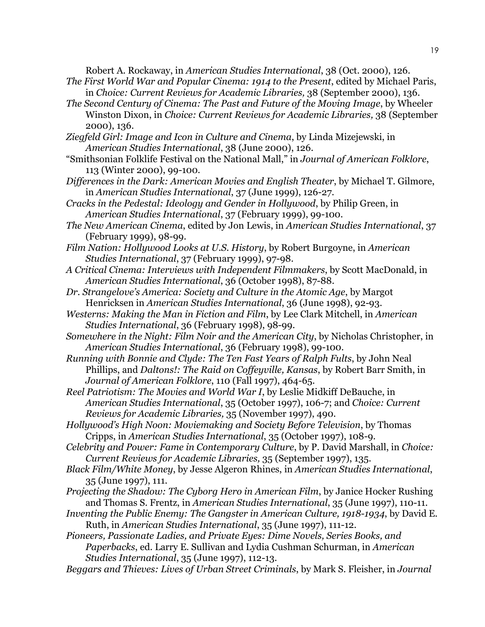Robert A. Rockaway, in *American Studies International*, 38 (Oct. 2000), 126.

- *The First World War and Popular Cinema: 1914 to the Present*, edited by Michael Paris, in *Choice: Current Reviews for Academic Libraries,* 38 (September 2000), 136.
- *The Second Century of Cinema: The Past and Future of the Moving Image*, by Wheeler Winston Dixon, in *Choice: Current Reviews for Academic Libraries,* 38 (September 2000), 136.
- *Ziegfeld Girl: Image and Icon in Culture and Cinema*, by Linda Mizejewski, in *American Studies International*, 38 (June 2000), 126.
- "Smithsonian Folklife Festival on the National Mall," in *Journal of American Folklore*, 113 (Winter 2000), 99-100.
- *Differences in the Dark: American Movies and English Theater*, by Michael T. Gilmore, in *American Studies International*, 37 (June 1999), 126-27.
- *Cracks in the Pedestal: Ideology and Gender in Hollywood*, by Philip Green, in *American Studies International*, 37 (February 1999), 99-100.
- *The New American Cinema*, edited by Jon Lewis, in *American Studies International*, 37 (February 1999), 98-99.
- *Film Nation: Hollywood Looks at U.S. History*, by Robert Burgoyne, in *American Studies International*, 37 (February 1999), 97-98.
- *A Critical Cinema: Interviews with Independent Filmmakers*, by Scott MacDonald, in *American Studies International*, 36 (October 1998), 87-88.
- *Dr. Strangelove's America: Society and Culture in the Atomic Age*, by Margot Henricksen in *American Studies International*, 36 (June 1998), 92-93.
- *Westerns: Making the Man in Fiction and Film*, by Lee Clark Mitchell, in *American Studies International*, 36 (February 1998), 98-99.
- *Somewhere in the Night: Film Noir and the American City*, by Nicholas Christopher, in *American Studies International*, 36 (February 1998), 99-100.
- *Running with Bonnie and Clyde: The Ten Fast Years of Ralph Fults*, by John Neal Phillips, and *Daltons!: The Raid on Coffeyville, Kansas*, by Robert Barr Smith, in *Journal of American Folklore*, 110 (Fall 1997), 464-65.
- *Reel Patriotism: The Movies and World War I*, by Leslie Midkiff DeBauche, in *American Studies International*, 35 (October 1997), 106-7; and *Choice: Current Reviews for Academic Libraries,* 35 (November 1997), 490.
- *Hollywood's High Noon: Moviemaking and Society Before Television*, by Thomas Cripps, in *American Studies International*, 35 (October 1997), 108-9.
- *Celebrity and Power: Fame in Contemporary Culture*, by P. David Marshall, in *Choice: Current Reviews for Academic Libraries,* 35 (September 1997), 135.
- *Black Film/White Money*, by Jesse Algeron Rhines, in *American Studies International*, 35 (June 1997), 111.
- *Projecting the Shadow: The Cyborg Hero in American Film*, by Janice Hocker Rushing and Thomas S. Frentz, in *American Studies International*, 35 (June 1997), 110-11.
- *Inventing the Public Enemy: The Gangster in American Culture, 1918-1934*, by David E. Ruth, in *American Studies International*, 35 (June 1997), 111-12.
- *Pioneers, Passionate Ladies, and Private Eyes: Dime Novels, Series Books, and Paperbacks*, ed. Larry E. Sullivan and Lydia Cushman Schurman, in *American Studies International*, 35 (June 1997), 112-13.
- *Beggars and Thieves: Lives of Urban Street Criminals*, by Mark S. Fleisher, in *Journal*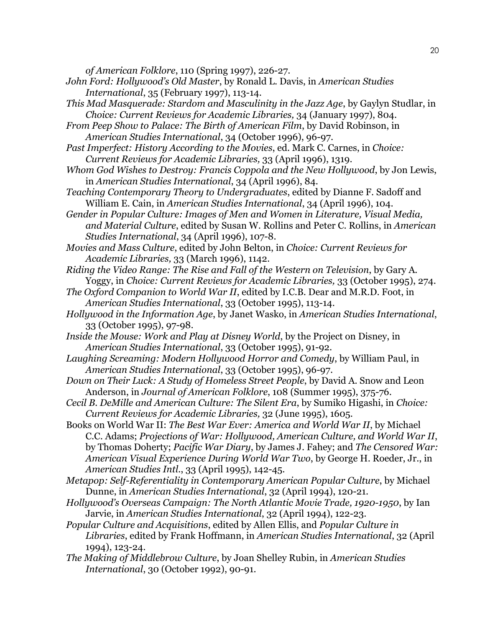*of American Folklore*, 110 (Spring 1997), 226-27.

- *John Ford: Hollywood's Old Master*, by Ronald L. Davis, in *American Studies International*, 35 (February 1997), 113-14.
- *This Mad Masquerade: Stardom and Masculinity in the Jazz Age*, by Gaylyn Studlar, in *Choice: Current Reviews for Academic Libraries,* 34 (January 1997), 804.
- *From Peep Show to Palace: The Birth of American Film*, by David Robinson, in *American Studies International*, 34 (October 1996), 96-97.
- *Past Imperfect: History According to the Movies*, ed. Mark C. Carnes, in *Choice: Current Reviews for Academic Libraries,* 33 (April 1996), 1319.
- *Whom God Wishes to Destroy: Francis Coppola and the New Hollywood*, by Jon Lewis, in *American Studies International*, 34 (April 1996), 84.
- *Teaching Contemporary Theory to Undergraduates*, edited by Dianne F. Sadoff and William E. Cain, in *American Studies International*, 34 (April 1996), 104.
- *Gender in Popular Culture: Images of Men and Women in Literature, Visual Media, and Material Culture*, edited by Susan W. Rollins and Peter C. Rollins, in *American Studies International*, 34 (April 1996), 107-8.
- *Movies and Mass Culture*, edited by John Belton, in *Choice: Current Reviews for Academic Libraries,* 33 (March 1996), 1142.
- *Riding the Video Range: The Rise and Fall of the Western on Television*, by Gary A. Yoggy, in *Choice: Current Reviews for Academic Libraries,* 33 (October 1995), 274.
- *The Oxford Companion to World War II*, edited by I.C.B. Dear and M.R.D. Foot, in *American Studies International*, 33 (October 1995), 113-14.
- *Hollywood in the Information Age*, by Janet Wasko, in *American Studies International*, 33 (October 1995), 97-98.
- *Inside the Mouse: Work and Play at Disney World*, by the Project on Disney, in *American Studies International*, 33 (October 1995), 91-92.
- *Laughing Screaming: Modern Hollywood Horror and Comedy*, by William Paul, in *American Studies International*, 33 (October 1995), 96-97.
- *Down on Their Luck: A Study of Homeless Street People*, by David A. Snow and Leon Anderson, in *Journal of American Folklore*, 108 (Summer 1995), 375-76.
- *Cecil B. DeMille and American Culture: The Silent Era*, by Sumiko Higashi, in *Choice: Current Reviews for Academic Libraries,* 32 (June 1995), 1605.
- Books on World War II: *The Best War Ever: America and World War II*, by Michael C.C. Adams; *Projections of War: Hollywood, American Culture, and World War II*, by Thomas Doherty; *Pacific War Diary*, by James J. Fahey; and *The Censored War: American Visual Experience During World War Two*, by George H. Roeder, Jr., in *American Studies Intl.*, 33 (April 1995), 142-45.
- *Metapop: Self-Referentiality in Contemporary American Popular Culture*, by Michael Dunne, in *American Studies International*, 32 (April 1994), 120-21.
- *Hollywood's Overseas Campaign: The North Atlantic Movie Trade, 1920-1950*, by Ian Jarvie, in *American Studies International*, 32 (April 1994), 122-23.
- *Popular Culture and Acquisitions*, edited by Allen Ellis, and *Popular Culture in Libraries*, edited by Frank Hoffmann, in *American Studies International*, 32 (April 1994), 123-24.
- *The Making of Middlebrow Culture*, by Joan Shelley Rubin, in *American Studies International*, 30 (October 1992), 90-91.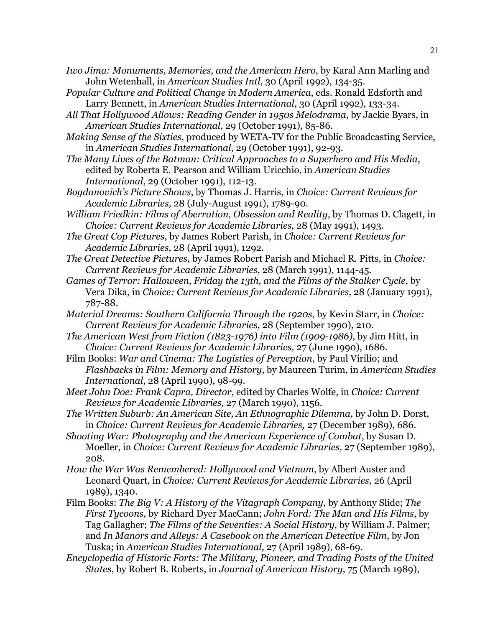- *Iwo Jima: Monuments, Memories, and the American Hero*, by Karal Ann Marling and John Wetenhall, in *American Studies Intl*, 30 (April 1992), 134-35.
- *Popular Culture and Political Change in Modern America*, eds. Ronald Edsforth and Larry Bennett, in *American Studies International*, 30 (April 1992), 133-34.
- *All That Hollywood Allows: Reading Gender in 1950s Melodrama*, by Jackie Byars, in *American Studies International*, 29 (October 1991), 85-86.
- *Making Sense of the Sixties*, produced by WETA-TV for the Public Broadcasting Service, in *American Studies International*, 29 (October 1991), 92-93.
- *The Many Lives of the Batman: Critical Approaches to a Superhero and His Media*, edited by Roberta E. Pearson and William Uricchio, in *American Studies International*, 29 (October 1991), 112-13.
- *Bogdanovich's Picture Shows*, by Thomas J. Harris, in *Choice: Current Reviews for Academic Libraries,* 28 (July-August 1991), 1789-90.
- *William Friedkin: Films of Aberration, Obsession and Reality*, by Thomas D. Clagett, in *Choice: Current Reviews for Academic Libraries,* 28 (May 1991), 1493.
- *The Great Cop Pictures*, by James Robert Parish, in *Choice: Current Reviews for Academic Libraries,* 28 (April 1991), 1292.
- *The Great Detective Pictures*, by James Robert Parish and Michael R. Pitts, in *Choice: Current Reviews for Academic Libraries*, 28 (March 1991), 1144-45.
- *Games of Terror: Halloween, Friday the 13th, and the Films of the Stalker Cycle*, by Vera Dika, in *Choice: Current Reviews for Academic Libraries,* 28 (January 1991), 787-88.
- *Material Dreams: Southern California Through the 1920s*, by Kevin Starr, in *Choice: Current Reviews for Academic Libraries,* 28 (September 1990), 210.
- *The American West from Fiction (1823-1976) into Film (1909-1986)*, by Jim Hitt, in *Choice: Current Reviews for Academic Libraries,* 27 (June 1990), 1686.
- Film Books: *War and Cinema: The Logistics of Perception*, by Paul Virilio; and *Flashbacks in Film: Memory and History*, by Maureen Turim, in *American Studies International*, 28 (April 1990), 98-99.
- *Meet John Doe: Frank Capra, Director*, edited by Charles Wolfe, in *Choice: Current Reviews for Academic Libraries,* 27 (March 1990), 1156.
- *The Written Suburb: An American Site, An Ethnographic Dilemma*, by John D. Dorst, in *Choice: Current Reviews for Academic Libraries,* 27 (December 1989), 686.
- *Shooting War: Photography and the American Experience of Combat*, by Susan D. Moeller, in *Choice: Current Reviews for Academic Libraries,* 27 (September 1989), 208.
- *How the War Was Remembered: Hollywood and Vietnam*, by Albert Auster and Leonard Quart, in *Choice: Current Reviews for Academic Libraries,* 26 (April 1989), 1340.
- Film Books: *The Big V: A History of the Vitagraph Company*, by Anthony Slide; *The First Tycoons*, by Richard Dyer MacCann; *John Ford: The Man and His Films*, by Tag Gallagher; *The Films of the Seventies: A Social History*, by William J. Palmer; and *In Manors and Alleys: A Casebook on the American Detective Film*, by Jon Tuska; in *American Studies International*, 27 (April 1989), 68-69.
- *Encyclopedia of Historic Forts: The Military, Pioneer, and Trading Posts of the United States*, by Robert B. Roberts, in *Journal of American History*, 75 (March 1989),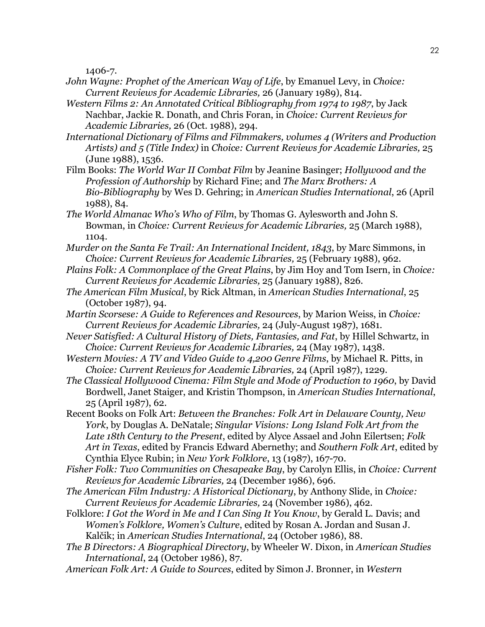1406-7.

- *John Wayne: Prophet of the American Way of Life*, by Emanuel Levy, in *Choice: Current Reviews for Academic Libraries,* 26 (January 1989), 814.
- *Western Films 2: An Annotated Critical Bibliography from 1974 to 1987*, by Jack Nachbar, Jackie R. Donath, and Chris Foran, in *Choice: Current Reviews for Academic Libraries,* 26 (Oct. 1988), 294.
- *International Dictionary of Films and Filmmakers, volumes 4 (Writers and Production Artists) and 5 (Title Index)* in *Choice: Current Reviews for Academic Libraries,* 25 (June 1988), 1536.
- Film Books: *The World War II Combat Film* by Jeanine Basinger; *Hollywood and the Profession of Authorship* by Richard Fine; and *The Marx Brothers: A Bio-Bibliography* by Wes D. Gehring; in *American Studies International*, 26 (April 1988), 84.
- *The World Almanac Who's Who of Film*, by Thomas G. Aylesworth and John S. Bowman, in *Choice: Current Reviews for Academic Libraries,* 25 (March 1988), 1104.
- *Murder on the Santa Fe Trail: An International Incident, 1843*, by Marc Simmons, in *Choice: Current Reviews for Academic Libraries,* 25 (February 1988), 962.
- *Plains Folk: A Commonplace of the Great Plains*, by Jim Hoy and Tom Isern, in *Choice: Current Reviews for Academic Libraries,* 25 (January 1988), 826.
- *The American Film Musical*, by Rick Altman, in *American Studies International*, 25 (October 1987), 94.
- *Martin Scorsese: A Guide to References and Resources*, by Marion Weiss, in *Choice: Current Reviews for Academic Libraries,* 24 (July-August 1987), 1681.
- *Never Satisfied: A Cultural History of Diets, Fantasies, and Fat*, by Hillel Schwartz, in *Choice: Current Reviews for Academic Libraries,* 24 (May 1987), 1438.
- *Western Movies: A TV and Video Guide to 4,200 Genre Films*, by Michael R. Pitts, in *Choice: Current Reviews for Academic Libraries,* 24 (April 1987), 1229.
- *The Classical Hollywood Cinema: Film Style and Mode of Production to 1960*, by David Bordwell, Janet Staiger, and Kristin Thompson, in *American Studies International*, 25 (April 1987), 62.
- Recent Books on Folk Art: *Between the Branches: Folk Art in Delaware County, New York*, by Douglas A. DeNatale; *Singular Visions: Long Island Folk Art from the Late 18th Century to the Present*, edited by Alyce Assael and John Eilertsen; *Folk Art in Texas*, edited by Francis Edward Abernethy; and *Southern Folk Art*, edited by Cynthia Elyce Rubin; in *New York Folklore*, 13 (1987), 167-70.
- *Fisher Folk: Two Communities on Chesapeake Bay*, by Carolyn Ellis, in *Choice: Current Reviews for Academic Libraries,* 24 (December 1986), 696.
- *The American Film Industry: A Historical Dictionary*, by Anthony Slide, in *Choice: Current Reviews for Academic Libraries,* 24 (November 1986), 462.
- Folklore: *I Got the Word in Me and I Can Sing It You Know*, by Gerald L. Davis; and *Women's Folklore, Women's Culture*, edited by Rosan A. Jordan and Susan J. Kalčik; in *American Studies International*, 24 (October 1986), 88.
- *The B Directors: A Biographical Directory*, by Wheeler W. Dixon, in *American Studies International*, 24 (October 1986), 87.
- *American Folk Art: A Guide to Sources*, edited by Simon J. Bronner, in *Western*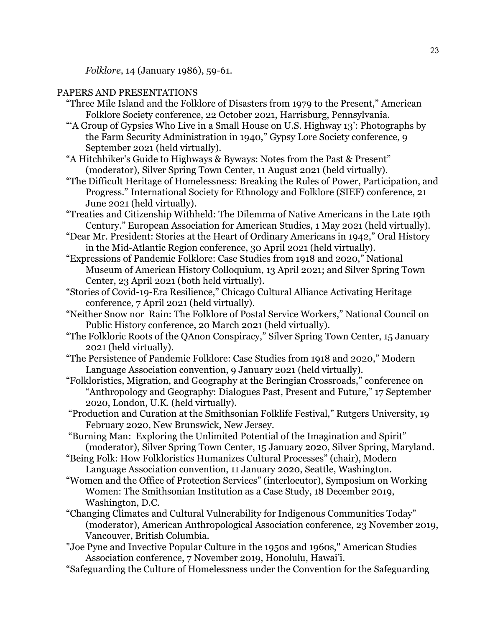*Folklore*, 14 (January 1986), 59-61.

#### PAPERS AND PRESENTATIONS

- "Three Mile Island and the Folklore of Disasters from 1979 to the Present," American Folklore Society conference, 22 October 2021, Harrisburg, Pennsylvania.
- "'A Group of Gypsies Who Live in a Small House on U.S. Highway 13': Photographs by the Farm Security Administration in 1940," Gypsy Lore Society conference, 9 September 2021 (held virtually).
- "A Hitchhiker's Guide to Highways & Byways: Notes from the Past & Present" (moderator), Silver Spring Town Center, 11 August 2021 (held virtually).
- "The Difficult Heritage of Homelessness: Breaking the Rules of Power, Participation, and Progress." International Society for Ethnology and Folklore (SIEF) conference, 21 June 2021 (held virtually).
- "Treaties and Citizenship Withheld: The Dilemma of Native Americans in the Late 19th Century." European Association for American Studies, 1 May 2021 (held virtually).
- "Dear Mr. President: Stories at the Heart of Ordinary Americans in 1942," Oral History in the Mid-Atlantic Region conference, 30 April 2021 (held virtually).
- "Expressions of Pandemic Folklore: Case Studies from 1918 and 2020," National Museum of American History Colloquium, 13 April 2021; and Silver Spring Town Center, 23 April 2021 (both held virtually).
- "Stories of Covid-19-Era Resilience," Chicago Cultural Alliance Activating Heritage conference, 7 April 2021 (held virtually).
- "Neither Snow nor Rain: The Folklore of Postal Service Workers," National Council on Public History conference, 20 March 2021 (held virtually).
- "The Folkloric Roots of the QAnon Conspiracy," Silver Spring Town Center, 15 January 2021 (held virtually).
- "The Persistence of Pandemic Folklore: Case Studies from 1918 and 2020," Modern Language Association convention, 9 January 2021 (held virtually).
- "Folkloristics, Migration, and Geography at the Beringian Crossroads," conference on "Anthropology and Geography: Dialogues Past, Present and Future," 17 September 2020, London, U.K. (held virtually).
- "Production and Curation at the Smithsonian Folklife Festival," Rutgers University, 19 February 2020, New Brunswick, New Jersey.
- "Burning Man: Exploring the Unlimited Potential of the Imagination and Spirit" (moderator), Silver Spring Town Center, 15 January 2020, Silver Spring, Maryland.
- "Being Folk: How Folkloristics Humanizes Cultural Processes" (chair), Modern Language Association convention, 11 January 2020, Seattle, Washington.
- "Women and the Office of Protection Services" (interlocutor), Symposium on Working Women: The Smithsonian Institution as a Case Study, 18 December 2019, Washington, D.C.
- "Changing Climates and Cultural Vulnerability for Indigenous Communities Today" (moderator), American Anthropological Association conference, 23 November 2019, Vancouver, British Columbia.
- "Joe Pyne and Invective Popular Culture in the 1950s and 1960s," American Studies Association conference, 7 November 2019, Honolulu, Hawai'i.
- "Safeguarding the Culture of Homelessness under the Convention for the Safeguarding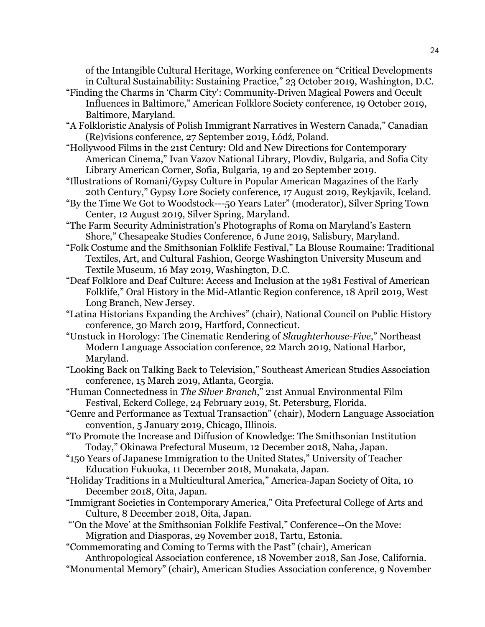of the Intangible Cultural Heritage, Working conference on "Critical Developments in Cultural Sustainability: Sustaining Practice," 23 October 2019, Washington, D.C.

- "Finding the Charms in 'Charm City': Community-Driven Magical Powers and Occult Influences in Baltimore," American Folklore Society conference, 19 October 2019, Baltimore, Maryland.
- "A Folkloristic Analysis of Polish Immigrant Narratives in Western Canada," Canadian (Re)visions conference, 27 September 2019, Łódź, Poland.
- "Hollywood Films in the 21st Century: Old and New Directions for Contemporary American Cinema," Ivan Vazov National Library, Plovdiv, Bulgaria, and Sofia City Library American Corner, Sofia, Bulgaria, 19 and 20 September 2019.
- "Illustrations of Romani/Gypsy Culture in Popular American Magazines of the Early 20th Century," Gypsy Lore Society conference, 17 August 2019, Reykjavik, Iceland.
- "By the Time We Got to Woodstock---50 Years Later" (moderator), Silver Spring Town Center, 12 August 2019, Silver Spring, Maryland.
- "The Farm Security Administration's Photographs of Roma on Maryland's Eastern Shore," Chesapeake Studies Conference, 6 June 2019, Salisbury, Maryland.
- "Folk Costume and the Smithsonian Folklife Festival," La Blouse Roumaine: Traditional Textiles, Art, and Cultural Fashion, George Washington University Museum and Textile Museum, 16 May 2019, Washington, D.C.
- "Deaf Folklore and Deaf Culture: Access and Inclusion at the 1981 Festival of American Folklife," Oral History in the Mid-Atlantic Region conference, 18 April 2019, West Long Branch, New Jersey.
- "Latina Historians Expanding the Archives" (chair), National Council on Public History conference, 30 March 2019, Hartford, Connecticut.
- "Unstuck in Horology: The Cinematic Rendering of *Slaughterhouse-Five*," Northeast Modern Language Association conference, 22 March 2019, National Harbor, Maryland.
- "Looking Back on Talking Back to Television," Southeast American Studies Association conference, 15 March 2019, Atlanta, Georgia.
- "Human Connectedness in *The Silver Branch*," 21st Annual Environmental Film Festival, Eckerd College, 24 February 2019, St. Petersburg, Florida.
- "Genre and Performance as Textual Transaction" (chair), Modern Language Association convention, 5 January 2019, Chicago, Illinois.
- "To Promote the Increase and Diffusion of Knowledge: The Smithsonian Institution Today," Okinawa Prefectural Museum, 12 December 2018, Naha, Japan.
- "150 Years of Japanese Immigration to the United States," University of Teacher Education Fukuoka, 11 December 2018, Munakata, Japan.
- "Holiday Traditions in a Multicultural America," America-Japan Society of Oita, 10 December 2018, Oita, Japan.
- "Immigrant Societies in Contemporary America," Oita Prefectural College of Arts and Culture, 8 December 2018, Oita, Japan.
- "'On the Move' at the Smithsonian Folklife Festival," Conference--On the Move: Migration and Diasporas, 29 November 2018, Tartu, Estonia.

 "Commemorating and Coming to Terms with the Past" (chair), American Anthropological Association conference, 18 November 2018, San Jose, California.

"Monumental Memory" (chair), American Studies Association conference, 9 November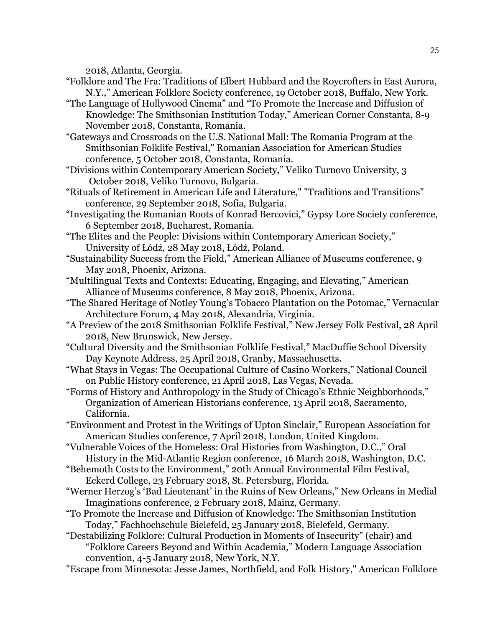2018, Atlanta, Georgia.

- "Folklore and The Fra: Traditions of Elbert Hubbard and the Roycrofters in East Aurora, N.Y.," American Folklore Society conference, 19 October 2018, Buffalo, New York.
- "The Language of Hollywood Cinema" and "To Promote the Increase and Diffusion of Knowledge: The Smithsonian Institution Today," American Corner Constanta, 8-9 November 2018, Constanta, Romania.

 "Gateways and Crossroads on the U.S. National Mall: The Romania Program at the Smithsonian Folklife Festival," Romanian Association for American Studies conference, 5 October 2018, Constanta, Romania.

- "Divisions within Contemporary American Society," Veliko Turnovo University, 3 October 2018, Veliko Turnovo, Bulgaria.
- "Rituals of Retirement in American Life and Literature," "Traditions and Transitions" conference, 29 September 2018, Sofia, Bulgaria.
- "Investigating the Romanian Roots of Konrad Bercovici," Gypsy Lore Society conference, 6 September 2018, Bucharest, Romania.
- "The Elites and the People: Divisions within Contemporary American Society," University of Łódź, 28 May 2018, Łódź, Poland.
- "Sustainability Success from the Field," American Alliance of Museums conference, 9 May 2018, Phoenix, Arizona.
- "Multilingual Texts and Contexts: Educating, Engaging, and Elevating," American Alliance of Museums conference, 8 May 2018, Phoenix, Arizona.
- "The Shared Heritage of Notley Young's Tobacco Plantation on the Potomac," Vernacular Architecture Forum, 4 May 2018, Alexandria, Virginia.
- "A Preview of the 2018 Smithsonian Folklife Festival," New Jersey Folk Festival, 28 April 2018, New Brunswick, New Jersey.
- "Cultural Diversity and the Smithsonian Folklife Festival," MacDuffie School Diversity Day Keynote Address, 25 April 2018, Granby, Massachusetts.
- "What Stays in Vegas: The Occupational Culture of Casino Workers," National Council on Public History conference, 21 April 2018, Las Vegas, Nevada.
- "Forms of History and Anthropology in the Study of Chicago's Ethnic Neighborhoods," Organization of American Historians conference, 13 April 2018, Sacramento, California.
- "Environment and Protest in the Writings of Upton Sinclair," European Association for American Studies conference, 7 April 2018, London, United Kingdom.
- "Vulnerable Voices of the Homeless: Oral Histories from Washington, D.C.," Oral History in the Mid-Atlantic Region conference, 16 March 2018, Washington, D.C.
- "Behemoth Costs to the Environment," 20th Annual Environmental Film Festival, Eckerd College, 23 February 2018, St. Petersburg, Florida.
- "Werner Herzog's 'Bad Lieutenant' in the Ruins of New Orleans," New Orleans in Medial Imaginations conference, 2 February 2018, Mainz, Germany.
- "To Promote the Increase and Diffusion of Knowledge: The Smithsonian Institution Today," Fachhochschule Bielefeld, 25 January 2018, Bielefeld, Germany.
- "Destabilizing Folklore: Cultural Production in Moments of Insecurity" (chair) and "Folklore Careers Beyond and Within Academia," Modern Language Association convention, 4-5 January 2018, New York, N.Y.
- "Escape from Minnesota: Jesse James, Northfield, and Folk History," American Folklore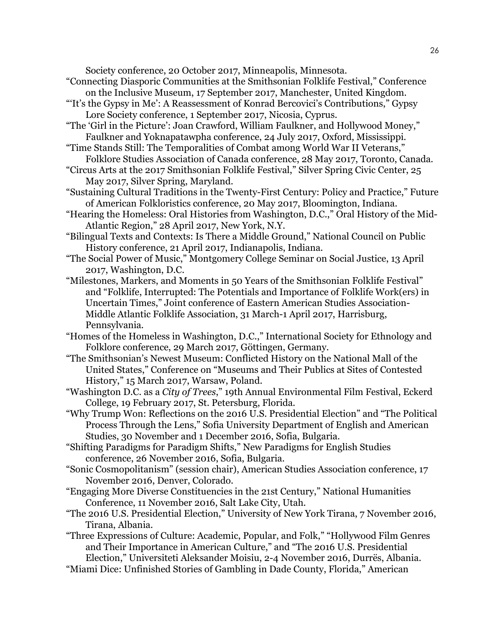Society conference, 20 October 2017, Minneapolis, Minnesota.

- "Connecting Diasporic Communities at the Smithsonian Folklife Festival," Conference on the Inclusive Museum, 17 September 2017, Manchester, United Kingdom.
- "'It's the Gypsy in Me': A Reassessment of Konrad Bercovici's Contributions," Gypsy Lore Society conference, 1 September 2017, Nicosia, Cyprus.
- "The 'Girl in the Picture': Joan Crawford, William Faulkner, and Hollywood Money," Faulkner and Yoknapatawpha conference, 24 July 2017, Oxford, Mississippi.
- "Time Stands Still: The Temporalities of Combat among World War II Veterans," Folklore Studies Association of Canada conference, 28 May 2017, Toronto, Canada.
- "Circus Arts at the 2017 Smithsonian Folklife Festival," Silver Spring Civic Center, 25 May 2017, Silver Spring, Maryland.
- "Sustaining Cultural Traditions in the Twenty-First Century: Policy and Practice," Future of American Folkloristics conference, 20 May 2017, Bloomington, Indiana.
- "Hearing the Homeless: Oral Histories from Washington, D.C.," Oral History of the Mid-Atlantic Region," 28 April 2017, New York, N.Y.
- "Bilingual Texts and Contexts: Is There a Middle Ground," National Council on Public History conference, 21 April 2017, Indianapolis, Indiana.
- "The Social Power of Music," Montgomery College Seminar on Social Justice, 13 April 2017, Washington, D.C.
- "Milestones, Markers, and Moments in 50 Years of the Smithsonian Folklife Festival" and "Folklife, Interrupted: The Potentials and Importance of Folklife Work(ers) in Uncertain Times," Joint conference of Eastern American Studies Association-Middle Atlantic Folklife Association, 31 March-1 April 2017, Harrisburg, Pennsylvania.
- "Homes of the Homeless in Washington, D.C.," International Society for Ethnology and Folklore conference, 29 March 2017, Göttingen, Germany.
- "The Smithsonian's Newest Museum: Conflicted History on the National Mall of the United States," Conference on "Museums and Their Publics at Sites of Contested History," 15 March 2017, Warsaw, Poland.
- "Washington D.C. as a *City of Trees*," 19th Annual Environmental Film Festival, Eckerd College, 19 February 2017, St. Petersburg, Florida.
- "Why Trump Won: Reflections on the 2016 U.S. Presidential Election" and "The Political Process Through the Lens," Sofia University Department of English and American Studies, 30 November and 1 December 2016, Sofia, Bulgaria.
- "Shifting Paradigms for Paradigm Shifts," New Paradigms for English Studies conference, 26 November 2016, Sofia, Bulgaria.
- "Sonic Cosmopolitanism" (session chair), American Studies Association conference, 17 November 2016, Denver, Colorado.
- "Engaging More Diverse Constituencies in the 21st Century," National Humanities Conference, 11 November 2016, Salt Lake City, Utah.
- "The 2016 U.S. Presidential Election," University of New York Tirana, 7 November 2016, Tirana, Albania.
- "Three Expressions of Culture: Academic, Popular, and Folk," "Hollywood Film Genres and Their Importance in American Culture," and "The 2016 U.S. Presidential Election," Universiteti Aleksander Moisiu, 2-4 November 2016, Durrës, Albania.
- "Miami Dice: Unfinished Stories of Gambling in Dade County, Florida," American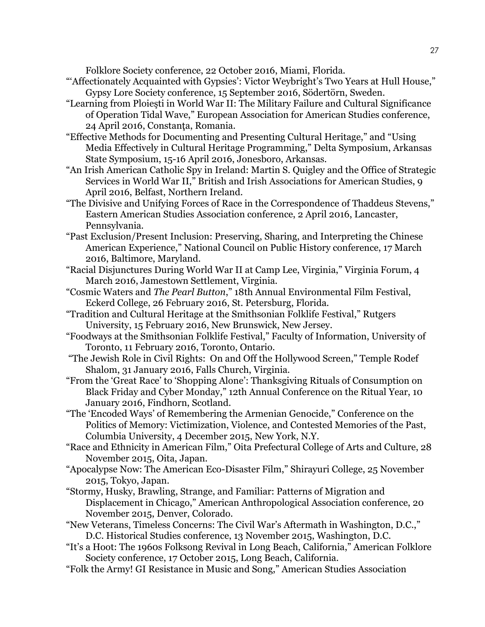Folklore Society conference, 22 October 2016, Miami, Florida.

- "Affectionately Acquainted with Gypsies': Victor Weybright's Two Years at Hull House," Gypsy Lore Society conference, 15 September 2016, Södertörn, Sweden.
- "Learning from Ploieşti in World War II: The Military Failure and Cultural Significance of Operation Tidal Wave," European Association for American Studies conference, 24 April 2016, Constanţa, Romania.
- "Effective Methods for Documenting and Presenting Cultural Heritage," and "Using Media Effectively in Cultural Heritage Programming," Delta Symposium, Arkansas State Symposium, 15-16 April 2016, Jonesboro, Arkansas.
- "An Irish American Catholic Spy in Ireland: Martin S. Quigley and the Office of Strategic Services in World War II," British and Irish Associations for American Studies, 9 April 2016, Belfast, Northern Ireland.
- "The Divisive and Unifying Forces of Race in the Correspondence of Thaddeus Stevens," Eastern American Studies Association conference, 2 April 2016, Lancaster, Pennsylvania.
- "Past Exclusion/Present Inclusion: Preserving, Sharing, and Interpreting the Chinese American Experience," National Council on Public History conference, 17 March 2016, Baltimore, Maryland.
- "Racial Disjunctures During World War II at Camp Lee, Virginia," Virginia Forum, 4 March 2016, Jamestown Settlement, Virginia.
- "Cosmic Waters and *The Pearl Button*," 18th Annual Environmental Film Festival, Eckerd College, 26 February 2016, St. Petersburg, Florida.
- "Tradition and Cultural Heritage at the Smithsonian Folklife Festival," Rutgers University, 15 February 2016, New Brunswick, New Jersey.
- "Foodways at the Smithsonian Folklife Festival," Faculty of Information, University of Toronto, 11 February 2016, Toronto, Ontario.
- "The Jewish Role in Civil Rights: On and Off the Hollywood Screen," Temple Rodef Shalom, 31 January 2016, Falls Church, Virginia.
- "From the 'Great Race' to 'Shopping Alone': Thanksgiving Rituals of Consumption on Black Friday and Cyber Monday," 12th Annual Conference on the Ritual Year, 10 January 2016, Findhorn, Scotland.
- "The 'Encoded Ways' of Remembering the Armenian Genocide," Conference on the Politics of Memory: Victimization, Violence, and Contested Memories of the Past, Columbia University, 4 December 2015, New York, N.Y.
- "Race and Ethnicity in American Film," Oita Prefectural College of Arts and Culture, 28 November 2015, Oita, Japan.
- "Apocalypse Now: The American Eco-Disaster Film," Shirayuri College, 25 November 2015, Tokyo, Japan.
- "Stormy, Husky, Brawling, Strange, and Familiar: Patterns of Migration and Displacement in Chicago," American Anthropological Association conference, 20 November 2015, Denver, Colorado.
- "New Veterans, Timeless Concerns: The Civil War's Aftermath in Washington, D.C.," D.C. Historical Studies conference, 13 November 2015, Washington, D.C.
- "It's a Hoot: The 1960s Folksong Revival in Long Beach, California," American Folklore Society conference, 17 October 2015, Long Beach, California.
- "Folk the Army! GI Resistance in Music and Song," American Studies Association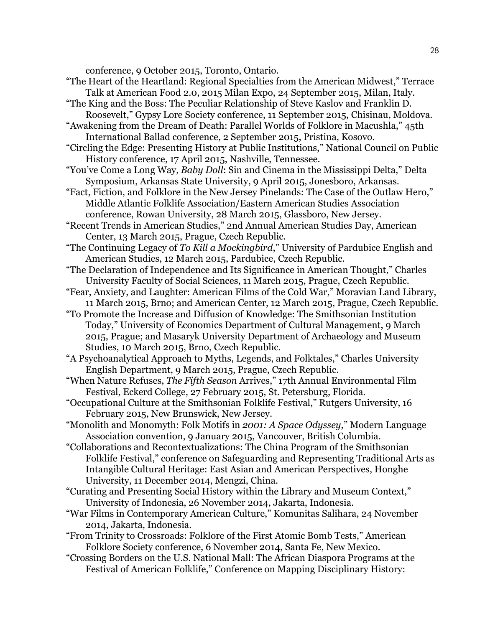conference, 9 October 2015, Toronto, Ontario.

- "The Heart of the Heartland: Regional Specialties from the American Midwest," Terrace Talk at American Food 2.0, 2015 Milan Expo, 24 September 2015, Milan, Italy.
- "The King and the Boss: The Peculiar Relationship of Steve Kaslov and Franklin D. Roosevelt," Gypsy Lore Society conference, 11 September 2015, Chisinau, Moldova.

 "Awakening from the Dream of Death: Parallel Worlds of Folklore in Macushla," 45th International Ballad conference, 2 September 2015, Pristina, Kosovo.

 "Circling the Edge: Presenting History at Public Institutions," National Council on Public History conference, 17 April 2015, Nashville, Tennessee.

- "You've Come a Long Way, *Baby Doll*: Sin and Cinema in the Mississippi Delta," Delta Symposium, Arkansas State University, 9 April 2015, Jonesboro, Arkansas.
- "Fact, Fiction, and Folklore in the New Jersey Pinelands: The Case of the Outlaw Hero," Middle Atlantic Folklife Association/Eastern American Studies Association conference, Rowan University, 28 March 2015, Glassboro, New Jersey.
- "Recent Trends in American Studies," 2nd Annual American Studies Day, American Center, 13 March 2015, Prague, Czech Republic.

 "The Continuing Legacy of *To Kill a Mockingbird*," University of Pardubice English and American Studies, 12 March 2015, Pardubice, Czech Republic.

 "The Declaration of Independence and Its Significance in American Thought," Charles University Faculty of Social Sciences, 11 March 2015, Prague, Czech Republic.

- "Fear, Anxiety, and Laughter: American Films of the Cold War," Moravian Land Library, 11 March 2015, Brno; and American Center, 12 March 2015, Prague, Czech Republic.
- "To Promote the Increase and Diffusion of Knowledge: The Smithsonian Institution Today," University of Economics Department of Cultural Management, 9 March 2015, Prague; and Masaryk University Department of Archaeology and Museum Studies, 10 March 2015, Brno, Czech Republic.

 "A Psychoanalytical Approach to Myths, Legends, and Folktales," Charles University English Department, 9 March 2015, Prague, Czech Republic.

 "When Nature Refuses, *The Fifth Season* Arrives," 17th Annual Environmental Film Festival, Eckerd College, 27 February 2015, St. Petersburg, Florida.

 "Occupational Culture at the Smithsonian Folklife Festival," Rutgers University, 16 February 2015, New Brunswick, New Jersey.

 "Monolith and Monomyth: Folk Motifs in *2001: A Space Odyssey*," Modern Language Association convention, 9 January 2015, Vancouver, British Columbia.

- "Collaborations and Recontextualizations: The China Program of the Smithsonian Folklife Festival," conference on Safeguarding and Representing Traditional Arts as Intangible Cultural Heritage: East Asian and American Perspectives, Honghe University, 11 December 2014, Mengzi, China.
- "Curating and Presenting Social History within the Library and Museum Context," University of Indonesia, 26 November 2014, Jakarta, Indonesia.
- "War Films in Contemporary American Culture," Komunitas Salihara, 24 November 2014, Jakarta, Indonesia.
- "From Trinity to Crossroads: Folklore of the First Atomic Bomb Tests," American Folklore Society conference, 6 November 2014, Santa Fe, New Mexico.
- "Crossing Borders on the U.S. National Mall: The African Diaspora Programs at the Festival of American Folklife," Conference on Mapping Disciplinary History: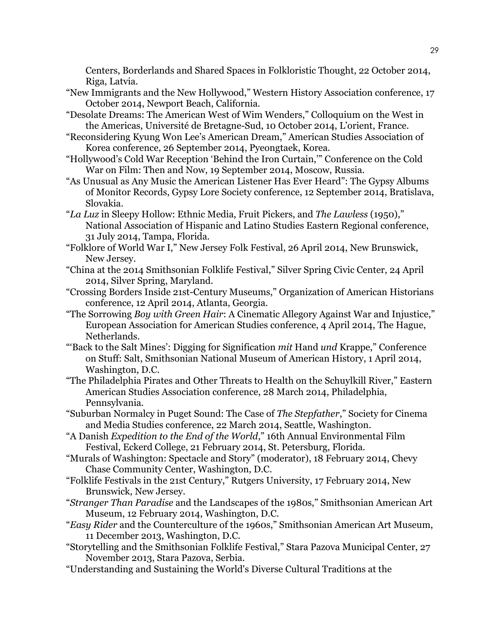Centers, Borderlands and Shared Spaces in Folkloristic Thought, 22 October 2014, Riga, Latvia.

- "New Immigrants and the New Hollywood," Western History Association conference, 17 October 2014, Newport Beach, California.
- "Desolate Dreams: The American West of Wim Wenders," Colloquium on the West in the Americas, Université de Bretagne-Sud, 10 October 2014, L'orient, France.
- "Reconsidering Kyung Won Lee's American Dream," American Studies Association of Korea conference, 26 September 2014, Pyeongtaek, Korea.
- "Hollywood's Cold War Reception 'Behind the Iron Curtain,'" Conference on the Cold War on Film: Then and Now, 19 September 2014, Moscow, Russia.
- "As Unusual as Any Music the American Listener Has Ever Heard": The Gypsy Albums of Monitor Records, Gypsy Lore Society conference, 12 September 2014, Bratislava, Slovakia.
- "*La Luz* in Sleepy Hollow: Ethnic Media, Fruit Pickers, and *The Lawless* (1950)," National Association of Hispanic and Latino Studies Eastern Regional conference, 31 July 2014, Tampa, Florida.
- "Folklore of World War I," New Jersey Folk Festival, 26 April 2014, New Brunswick, New Jersey.
- "China at the 2014 Smithsonian Folklife Festival," Silver Spring Civic Center, 24 April 2014, Silver Spring, Maryland.
- "Crossing Borders Inside 21st-Century Museums," Organization of American Historians conference, 12 April 2014, Atlanta, Georgia.
- "The Sorrowing *Boy with Green Hair*: A Cinematic Allegory Against War and Injustice," European Association for American Studies conference, 4 April 2014, The Hague, Netherlands.
- "'Back to the Salt Mines': Digging for Signification *mit* Hand *und* Krappe," Conference on Stuff: Salt, Smithsonian National Museum of American History, 1 April 2014, Washington, D.C.
- "The Philadelphia Pirates and Other Threats to Health on the Schuylkill River," Eastern American Studies Association conference, 28 March 2014, Philadelphia, Pennsylvania.
- "Suburban Normalcy in Puget Sound: The Case of *The Stepfather*," Society for Cinema and Media Studies conference, 22 March 2014, Seattle, Washington.
- "A Danish *Expedition to the End of the World*," 16th Annual Environmental Film Festival, Eckerd College, 21 February 2014, St. Petersburg, Florida.
- "Murals of Washington: Spectacle and Story" (moderator), 18 February 2014, Chevy Chase Community Center, Washington, D.C.
- "Folklife Festivals in the 21st Century," Rutgers University, 17 February 2014, New Brunswick, New Jersey.
- "*Stranger Than Paradise* and the Landscapes of the 1980s," Smithsonian American Art Museum, 12 February 2014, Washington, D.C.
- "*Easy Rider* and the Counterculture of the 1960s," Smithsonian American Art Museum, 11 December 2013, Washington, D.C.
- "Storytelling and the Smithsonian Folklife Festival," Stara Pazova Municipal Center, 27 November 2013, Stara Pazova, Serbia.
- "Understanding and Sustaining the World's Diverse Cultural Traditions at the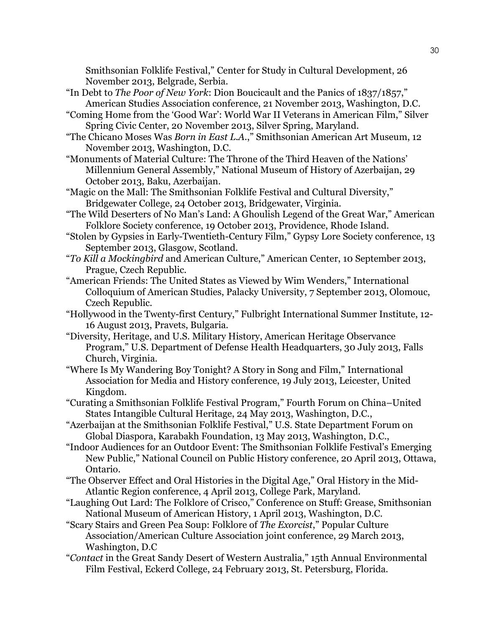Smithsonian Folklife Festival," Center for Study in Cultural Development, 26 November 2013, Belgrade, Serbia.

- "In Debt to *The Poor of New York*: Dion Boucicault and the Panics of 1837/1857," American Studies Association conference, 21 November 2013, Washington, D.C.
- "Coming Home from the 'Good War': World War II Veterans in American Film," Silver Spring Civic Center, 20 November 2013, Silver Spring, Maryland.
- "The Chicano Moses Was *Born in East L.A.*," Smithsonian American Art Museum, 12 November 2013, Washington, D.C.
- "Monuments of Material Culture: The Throne of the Third Heaven of the Nations' Millennium General Assembly," National Museum of History of Azerbaijan, 29 October 2013, Baku, Azerbaijan.
- "Magic on the Mall: The Smithsonian Folklife Festival and Cultural Diversity," Bridgewater College, 24 October 2013, Bridgewater, Virginia.
- "The Wild Deserters of No Man's Land: A Ghoulish Legend of the Great War," American Folklore Society conference, 19 October 2013, Providence, Rhode Island.
- "Stolen by Gypsies in Early-Twentieth-Century Film," Gypsy Lore Society conference, 13 September 2013, Glasgow, Scotland.
- "*To Kill a Mockingbird* and American Culture," American Center, 10 September 2013, Prague, Czech Republic.
- "American Friends: The United States as Viewed by Wim Wenders," International Colloquium of American Studies, Palacky University, 7 September 2013, Olomouc, Czech Republic.
- "Hollywood in the Twenty-first Century," Fulbright International Summer Institute, 12- 16 August 2013, Pravets, Bulgaria.
- "Diversity, Heritage, and U.S. Military History, American Heritage Observance Program," U.S. Department of Defense Health Headquarters, 30 July 2013, Falls Church, Virginia.
- "Where Is My Wandering Boy Tonight? A Story in Song and Film," International Association for Media and History conference, 19 July 2013, Leicester, United Kingdom.
- "Curating a Smithsonian Folklife Festival Program," Fourth Forum on China–United States Intangible Cultural Heritage, 24 May 2013, Washington, D.C.,
- "Azerbaijan at the Smithsonian Folklife Festival," U.S. State Department Forum on Global Diaspora, Karabakh Foundation, 13 May 2013, Washington, D.C.,
- "Indoor Audiences for an Outdoor Event: The Smithsonian Folklife Festival's Emerging New Public," National Council on Public History conference, 20 April 2013, Ottawa, Ontario.
- "The Observer Effect and Oral Histories in the Digital Age," Oral History in the Mid-Atlantic Region conference, 4 April 2013, College Park, Maryland.
- "Laughing Out Lard: The Folklore of Crisco," Conference on Stuff: Grease, Smithsonian National Museum of American History, 1 April 2013, Washington, D.C.
- "Scary Stairs and Green Pea Soup: Folklore of *The Exorcist*," Popular Culture Association/American Culture Association joint conference, 29 March 2013, Washington, D.C
- "*Contact* in the Great Sandy Desert of Western Australia," 15th Annual Environmental Film Festival, Eckerd College, 24 February 2013, St. Petersburg, Florida.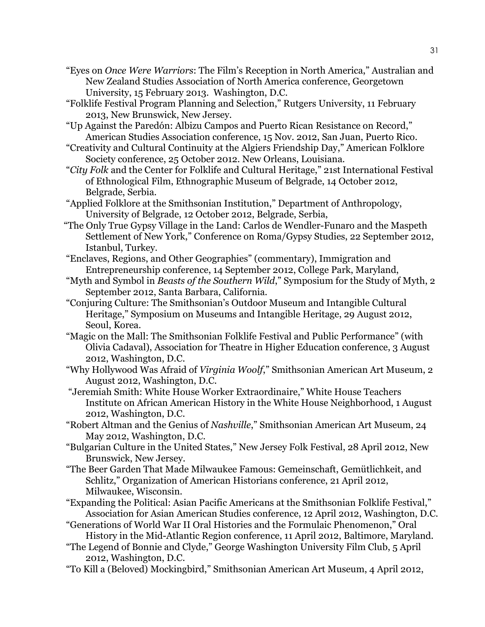- "Eyes on *Once Were Warriors*: The Film's Reception in North America," Australian and New Zealand Studies Association of North America conference, Georgetown University, 15 February 2013. Washington, D.C.
- "Folklife Festival Program Planning and Selection," Rutgers University, 11 February 2013, New Brunswick, New Jersey.
- "Up Against the Paredón: Albizu Campos and Puerto Rican Resistance on Record," American Studies Association conference, 15 Nov. 2012, San Juan, Puerto Rico.
- "Creativity and Cultural Continuity at the Algiers Friendship Day," American Folklore Society conference, 25 October 2012. New Orleans, Louisiana.
- "*City Folk* and the Center for Folklife and Cultural Heritage," 21st International Festival of Ethnological Film, Ethnographic Museum of Belgrade, 14 October 2012, Belgrade, Serbia.
- "Applied Folklore at the Smithsonian Institution," Department of Anthropology, University of Belgrade, 12 October 2012, Belgrade, Serbia,
- "The Only True Gypsy Village in the Land: Carlos de Wendler-Funaro and the Maspeth Settlement of New York," Conference on Roma/Gypsy Studies, 22 September 2012, Istanbul, Turkey.
- "Enclaves, Regions, and Other Geographies" (commentary), Immigration and Entrepreneurship conference, 14 September 2012, College Park, Maryland,
- "Myth and Symbol in *Beasts of the Southern Wild*," Symposium for the Study of Myth, 2 September 2012, Santa Barbara, California.
- "Conjuring Culture: The Smithsonian's Outdoor Museum and Intangible Cultural Heritage," Symposium on Museums and Intangible Heritage, 29 August 2012, Seoul, Korea.
- "Magic on the Mall: The Smithsonian Folklife Festival and Public Performance" (with Olivia Cadaval), Association for Theatre in Higher Education conference, 3 August 2012, Washington, D.C.
- "Why Hollywood Was Afraid of *Virginia Woolf*," Smithsonian American Art Museum, 2 August 2012, Washington, D.C.
- "Jeremiah Smith: White House Worker Extraordinaire," White House Teachers Institute on African American History in the White House Neighborhood, 1 August 2012, Washington, D.C.
- "Robert Altman and the Genius of *Nashville*," Smithsonian American Art Museum, 24 May 2012, Washington, D.C.
- "Bulgarian Culture in the United States," New Jersey Folk Festival, 28 April 2012, New Brunswick, New Jersey.
- "The Beer Garden That Made Milwaukee Famous: Gemeinschaft, Gemütlichkeit, and Schlitz," Organization of American Historians conference, 21 April 2012, Milwaukee, Wisconsin.
- "Expanding the Political: Asian Pacific Americans at the Smithsonian Folklife Festival," Association for Asian American Studies conference, 12 April 2012, Washington, D.C.
- "Generations of World War II Oral Histories and the Formulaic Phenomenon," Oral History in the Mid-Atlantic Region conference, 11 April 2012, Baltimore, Maryland.
- "The Legend of Bonnie and Clyde," George Washington University Film Club, 5 April 2012, Washington, D.C.
- "To Kill a (Beloved) Mockingbird," Smithsonian American Art Museum, 4 April 2012,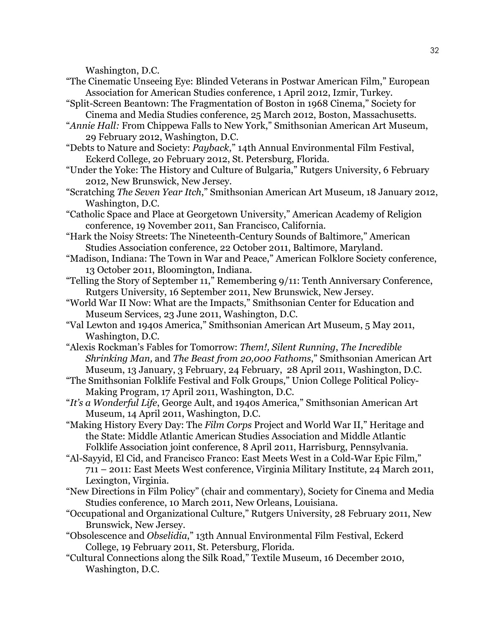Washington, D.C.

- "The Cinematic Unseeing Eye: Blinded Veterans in Postwar American Film," European Association for American Studies conference, 1 April 2012, Izmir, Turkey.
- "Split-Screen Beantown: The Fragmentation of Boston in 1968 Cinema," Society for Cinema and Media Studies conference, 25 March 2012, Boston, Massachusetts.
- "*Annie Hall:* From Chippewa Falls to New York," Smithsonian American Art Museum, 29 February 2012, Washington, D.C.
- "Debts to Nature and Society: *Payback*," 14th Annual Environmental Film Festival, Eckerd College, 20 February 2012, St. Petersburg, Florida.
- "Under the Yoke: The History and Culture of Bulgaria," Rutgers University, 6 February 2012, New Brunswick, New Jersey.
- "Scratching *The Seven Year Itch*," Smithsonian American Art Museum, 18 January 2012, Washington, D.C.
- "Catholic Space and Place at Georgetown University," American Academy of Religion conference, 19 November 2011, San Francisco, California.
- "Hark the Noisy Streets: The Nineteenth-Century Sounds of Baltimore," American Studies Association conference, 22 October 2011, Baltimore, Maryland.
- "Madison, Indiana: The Town in War and Peace," American Folklore Society conference, 13 October 2011, Bloomington, Indiana.
- "Telling the Story of September 11," Remembering 9/11: Tenth Anniversary Conference, Rutgers University, 16 September 2011, New Brunswick, New Jersey.
- "World War II Now: What are the Impacts," Smithsonian Center for Education and Museum Services, 23 June 2011, Washington, D.C.
- "Val Lewton and 1940s America," Smithsonian American Art Museum, 5 May 2011, Washington, D.C.
- "Alexis Rockman's Fables for Tomorrow: *Them!, Silent Running*, *The Incredible Shrinking Man,* and *The Beast from 20,000 Fathoms*," Smithsonian American Art Museum, 13 January, 3 February, 24 February, 28 April 2011, Washington, D.C.
- "The Smithsonian Folklife Festival and Folk Groups," Union College Political Policy-Making Program, 17 April 2011, Washington, D.C.
- "*It's a Wonderful Life*, George Ault, and 1940s America," Smithsonian American Art Museum, 14 April 2011, Washington, D.C.
- "Making History Every Day: The *Film Corps* Project and World War II," Heritage and the State: Middle Atlantic American Studies Association and Middle Atlantic Folklife Association joint conference, 8 April 2011, Harrisburg, Pennsylvania.
- "Al-Sayyid, El Cid, and Francisco Franco: East Meets West in a Cold-War Epic Film," 711 – 2011: East Meets West conference, Virginia Military Institute, 24 March 2011, Lexington, Virginia.
- "New Directions in Film Policy" (chair and commentary), Society for Cinema and Media Studies conference, 10 March 2011, New Orleans, Louisiana.
- "Occupational and Organizational Culture," Rutgers University, 28 February 2011, New Brunswick, New Jersey.
- "Obsolescence and *Obselidia*," 13th Annual Environmental Film Festival, Eckerd College, 19 February 2011, St. Petersburg, Florida.
- "Cultural Connections along the Silk Road," Textile Museum, 16 December 2010, Washington, D.C.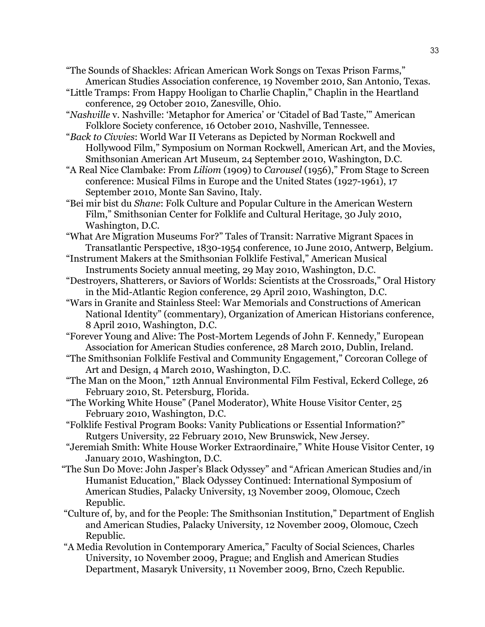"The Sounds of Shackles: African American Work Songs on Texas Prison Farms," American Studies Association conference, 19 November 2010, San Antonio, Texas.

- "Little Tramps: From Happy Hooligan to Charlie Chaplin," Chaplin in the Heartland conference, 29 October 2010, Zanesville, Ohio.
- "*Nashville* v. Nashville: 'Metaphor for America' or 'Citadel of Bad Taste,'" American Folklore Society conference, 16 October 2010, Nashville, Tennessee.

 "*Back to Civvies*: World War II Veterans as Depicted by Norman Rockwell and Hollywood Film," Symposium on Norman Rockwell, American Art, and the Movies, Smithsonian American Art Museum, 24 September 2010, Washington, D.C.

- "A Real Nice Clambake: From *Liliom* (1909) to *Carousel* (1956)," From Stage to Screen conference: Musical Films in Europe and the United States (1927-1961), 17 September 2010, Monte San Savino, Italy.
- "Bei mir bist du *Shane*: Folk Culture and Popular Culture in the American Western Film," Smithsonian Center for Folklife and Cultural Heritage, 30 July 2010, Washington, D.C.

 "What Are Migration Museums For?" Tales of Transit: Narrative Migrant Spaces in Transatlantic Perspective, 1830-1954 conference, 10 June 2010, Antwerp, Belgium.

- "Instrument Makers at the Smithsonian Folklife Festival," American Musical Instruments Society annual meeting, 29 May 2010, Washington, D.C.
- "Destroyers, Shatterers, or Saviors of Worlds: Scientists at the Crossroads," Oral History in the Mid-Atlantic Region conference, 29 April 2010, Washington, D.C.
- "Wars in Granite and Stainless Steel: War Memorials and Constructions of American National Identity" (commentary), Organization of American Historians conference, 8 April 2010, Washington, D.C.
- "Forever Young and Alive: The Post-Mortem Legends of John F. Kennedy," European Association for American Studies conference, 28 March 2010, Dublin, Ireland.
- "The Smithsonian Folklife Festival and Community Engagement," Corcoran College of Art and Design, 4 March 2010, Washington, D.C.
- "The Man on the Moon," 12th Annual Environmental Film Festival, Eckerd College, 26 February 2010, St. Petersburg, Florida.
- "The Working White House" (Panel Moderator), White House Visitor Center, 25 February 2010, Washington, D.C.
- "Folklife Festival Program Books: Vanity Publications or Essential Information?" Rutgers University, 22 February 2010, New Brunswick, New Jersey.
- "Jeremiah Smith: White House Worker Extraordinaire," White House Visitor Center, 19 January 2010, Washington, D.C.
- "The Sun Do Move: John Jasper's Black Odyssey" and "African American Studies and/in Humanist Education," Black Odyssey Continued: International Symposium of American Studies, Palacky University, 13 November 2009, Olomouc, Czech Republic.
- "Culture of, by, and for the People: The Smithsonian Institution," Department of English and American Studies, Palacky University, 12 November 2009, Olomouc, Czech Republic.
- "A Media Revolution in Contemporary America," Faculty of Social Sciences, Charles University, 10 November 2009, Prague; and English and American Studies Department, Masaryk University, 11 November 2009, Brno, Czech Republic.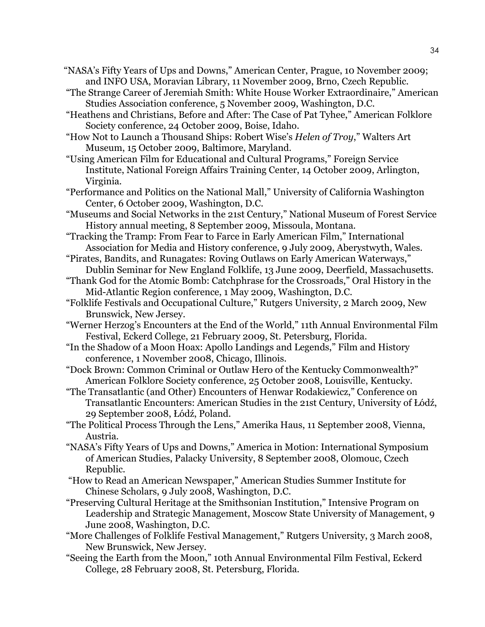- "NASA's Fifty Years of Ups and Downs," American Center, Prague, 10 November 2009; and INFO USA, Moravian Library, 11 November 2009, Brno, Czech Republic.
- "The Strange Career of Jeremiah Smith: White House Worker Extraordinaire," American Studies Association conference, 5 November 2009, Washington, D.C.
- "Heathens and Christians, Before and After: The Case of Pat Tyhee," American Folklore Society conference, 24 October 2009, Boise, Idaho.
- "How Not to Launch a Thousand Ships: Robert Wise's *Helen of Troy*," Walters Art Museum, 15 October 2009, Baltimore, Maryland.
- "Using American Film for Educational and Cultural Programs," Foreign Service Institute, National Foreign Affairs Training Center, 14 October 2009, Arlington, Virginia.
- "Performance and Politics on the National Mall," University of California Washington Center, 6 October 2009, Washington, D.C.
- "Museums and Social Networks in the 21st Century," National Museum of Forest Service History annual meeting, 8 September 2009, Missoula, Montana.
- "Tracking the Tramp: From Fear to Farce in Early American Film," International Association for Media and History conference, 9 July 2009, Aberystwyth, Wales.
- "Pirates, Bandits, and Runagates: Roving Outlaws on Early American Waterways," Dublin Seminar for New England Folklife, 13 June 2009, Deerfield, Massachusetts.
- "Thank God for the Atomic Bomb: Catchphrase for the Crossroads," Oral History in the Mid-Atlantic Region conference, 1 May 2009, Washington, D.C.
- "Folklife Festivals and Occupational Culture," Rutgers University, 2 March 2009, New Brunswick, New Jersey.
- "Werner Herzog's Encounters at the End of the World," 11th Annual Environmental Film Festival, Eckerd College, 21 February 2009, St. Petersburg, Florida.
- "In the Shadow of a Moon Hoax: Apollo Landings and Legends," Film and History conference, 1 November 2008, Chicago, Illinois.
- "Dock Brown: Common Criminal or Outlaw Hero of the Kentucky Commonwealth?" American Folklore Society conference, 25 October 2008, Louisville, Kentucky.
- "The Transatlantic (and Other) Encounters of Henwar Rodakiewicz," Conference on Transatlantic Encounters: American Studies in the 21st Century, University of Łódź, 29 September 2008, Łódź, Poland.
- "The Political Process Through the Lens," Amerika Haus, 11 September 2008, Vienna, Austria.
- "NASA's Fifty Years of Ups and Downs," America in Motion: International Symposium of American Studies, Palacky University, 8 September 2008, Olomouc, Czech Republic.
- "How to Read an American Newspaper," American Studies Summer Institute for Chinese Scholars, 9 July 2008, Washington, D.C.
- "Preserving Cultural Heritage at the Smithsonian Institution," Intensive Program on Leadership and Strategic Management, Moscow State University of Management, 9 June 2008, Washington, D.C.
- "More Challenges of Folklife Festival Management," Rutgers University, 3 March 2008, New Brunswick, New Jersey.
- "Seeing the Earth from the Moon," 10th Annual Environmental Film Festival, Eckerd College, 28 February 2008, St. Petersburg, Florida.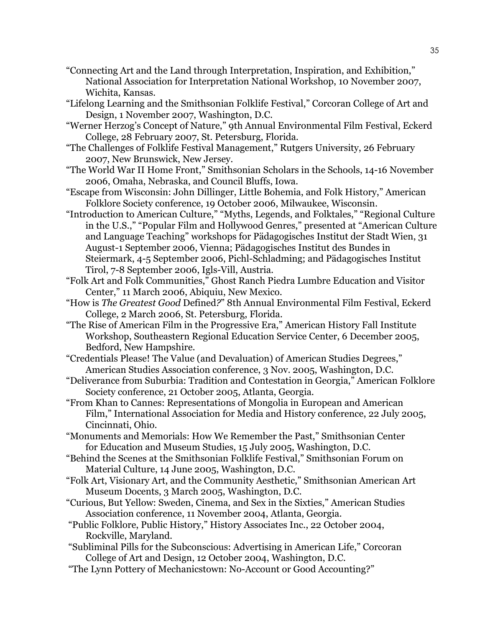- "Connecting Art and the Land through Interpretation, Inspiration, and Exhibition," National Association for Interpretation National Workshop, 10 November 2007, Wichita, Kansas.
- "Lifelong Learning and the Smithsonian Folklife Festival," Corcoran College of Art and Design, 1 November 2007, Washington, D.C.
- "Werner Herzog's Concept of Nature," 9th Annual Environmental Film Festival, Eckerd College, 28 February 2007, St. Petersburg, Florida.
- "The Challenges of Folklife Festival Management," Rutgers University, 26 February 2007, New Brunswick, New Jersey.
- "The World War II Home Front," Smithsonian Scholars in the Schools, 14-16 November 2006, Omaha, Nebraska, and Council Bluffs, Iowa.
- "Escape from Wisconsin: John Dillinger, Little Bohemia, and Folk History," American Folklore Society conference, 19 October 2006, Milwaukee, Wisconsin.
- "Introduction to American Culture," "Myths, Legends, and Folktales," "Regional Culture in the U.S.," "Popular Film and Hollywood Genres," presented at "American Culture and Language Teaching" workshops for Pädagogisches Institut der Stadt Wien, 31 August-1 September 2006, Vienna; Pädagogisches Institut des Bundes in Steiermark, 4-5 September 2006, Pichl-Schladming; and Pädagogisches Institut Tirol, 7-8 September 2006, Igls-Vill, Austria.
- "Folk Art and Folk Communities," Ghost Ranch Piedra Lumbre Education and Visitor Center," 11 March 2006, Abiquiu, New Mexico.
- "How is *The Greatest Good* Defined*?*" 8th Annual Environmental Film Festival, Eckerd College, 2 March 2006, St. Petersburg, Florida.
- "The Rise of American Film in the Progressive Era," American History Fall Institute Workshop, Southeastern Regional Education Service Center, 6 December 2005, Bedford, New Hampshire.
- "Credentials Please! The Value (and Devaluation) of American Studies Degrees," American Studies Association conference, 3 Nov. 2005, Washington, D.C.
- "Deliverance from Suburbia: Tradition and Contestation in Georgia," American Folklore Society conference, 21 October 2005, Atlanta, Georgia.
- "From Khan to Cannes: Representations of Mongolia in European and American Film," International Association for Media and History conference, 22 July 2005, Cincinnati, Ohio.
- "Monuments and Memorials: How We Remember the Past," Smithsonian Center for Education and Museum Studies, 15 July 2005, Washington, D.C.
- "Behind the Scenes at the Smithsonian Folklife Festival," Smithsonian Forum on Material Culture, 14 June 2005, Washington, D.C.
- "Folk Art, Visionary Art, and the Community Aesthetic," Smithsonian American Art Museum Docents, 3 March 2005, Washington, D.C.
- "Curious, But Yellow: Sweden, Cinema, and Sex in the Sixties," American Studies Association conference, 11 November 2004, Atlanta, Georgia.
- "Public Folklore, Public History," History Associates Inc., 22 October 2004, Rockville, Maryland.
- "Subliminal Pills for the Subconscious: Advertising in American Life," Corcoran College of Art and Design, 12 October 2004, Washington, D.C.
- "The Lynn Pottery of Mechanicstown: No-Account or Good Accounting?"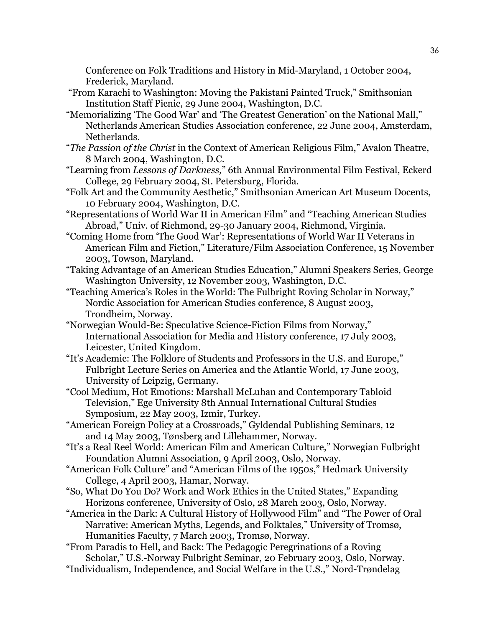Conference on Folk Traditions and History in Mid-Maryland, 1 October 2004, Frederick, Maryland.

- "From Karachi to Washington: Moving the Pakistani Painted Truck," Smithsonian Institution Staff Picnic, 29 June 2004, Washington, D.C.
- "Memorializing 'The Good War' and 'The Greatest Generation' on the National Mall," Netherlands American Studies Association conference, 22 June 2004, Amsterdam, Netherlands.
- "*The Passion of the Christ* in the Context of American Religious Film," Avalon Theatre, 8 March 2004, Washington, D.C.
- "Learning from *Lessons of Darkness,*" 6th Annual Environmental Film Festival, Eckerd College, 29 February 2004, St. Petersburg, Florida.
- "Folk Art and the Community Aesthetic," Smithsonian American Art Museum Docents, 10 February 2004, Washington, D.C.
- "Representations of World War II in American Film" and "Teaching American Studies Abroad," Univ. of Richmond, 29-30 January 2004, Richmond, Virginia.
- "Coming Home from 'The Good War': Representations of World War II Veterans in American Film and Fiction," Literature/Film Association Conference, 15 November 2003, Towson, Maryland.
- "Taking Advantage of an American Studies Education," Alumni Speakers Series, George Washington University, 12 November 2003, Washington, D.C.
- "Teaching America's Roles in the World: The Fulbright Roving Scholar in Norway," Nordic Association for American Studies conference, 8 August 2003, Trondheim, Norway.
- "Norwegian Would-Be: Speculative Science-Fiction Films from Norway," International Association for Media and History conference, 17 July 2003, Leicester, United Kingdom.
- "It's Academic: The Folklore of Students and Professors in the U.S. and Europe," Fulbright Lecture Series on America and the Atlantic World, 17 June 2003, University of Leipzig, Germany.
- "Cool Medium, Hot Emotions: Marshall McLuhan and Contemporary Tabloid Television," Ege University 8th Annual International Cultural Studies Symposium, 22 May 2003, Izmir, Turkey.
- "American Foreign Policy at a Crossroads," Gyldendal Publishing Seminars, 12 and 14 May 2003, Tønsberg and Lillehammer, Norway.
- "It's a Real Reel World: American Film and American Culture," Norwegian Fulbright Foundation Alumni Association, 9 April 2003, Oslo, Norway.
- "American Folk Culture" and "American Films of the 1950s," Hedmark University College, 4 April 2003, Hamar, Norway.
- "So, What Do You Do? Work and Work Ethics in the United States," Expanding Horizons conference, University of Oslo, 28 March 2003, Oslo, Norway.
- "America in the Dark: A Cultural History of Hollywood Film" and "The Power of Oral Narrative: American Myths, Legends, and Folktales," University of Tromsø, Humanities Faculty, 7 March 2003, Tromsø, Norway.
- "From Paradis to Hell, and Back: The Pedagogic Peregrinations of a Roving Scholar," U.S.-Norway Fulbright Seminar, 20 February 2003, Oslo, Norway.
- "Individualism, Independence, and Social Welfare in the U.S.," Nord-Trøndelag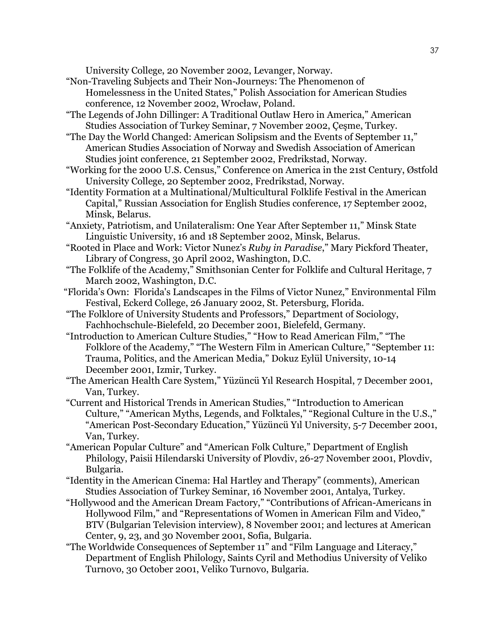University College, 20 November 2002, Levanger, Norway.

- "Non-Traveling Subjects and Their Non-Journeys: The Phenomenon of Homelessness in the United States," Polish Association for American Studies conference, 12 November 2002, Wrocław, Poland.
- "The Legends of John Dillinger: A Traditional Outlaw Hero in America," American Studies Association of Turkey Seminar, 7 November 2002, Çeşme, Turkey.
- "The Day the World Changed: American Solipsism and the Events of September 11," American Studies Association of Norway and Swedish Association of American Studies joint conference, 21 September 2002, Fredrikstad, Norway.
- "Working for the 2000 U.S. Census," Conference on America in the 21st Century, Østfold University College, 20 September 2002, Fredrikstad, Norway.
- "Identity Formation at a Multinational/Multicultural Folklife Festival in the American Capital," Russian Association for English Studies conference, 17 September 2002, Minsk, Belarus.
- "Anxiety, Patriotism, and Unilateralism: One Year After September 11," Minsk State Linguistic University, 16 and 18 September 2002, Minsk, Belarus.
- "Rooted in Place and Work: Victor Nunez's *Ruby in Paradise*," Mary Pickford Theater, Library of Congress, 30 April 2002, Washington, D.C.
- "The Folklife of the Academy," Smithsonian Center for Folklife and Cultural Heritage, 7 March 2002, Washington, D.C.
- "Florida's Own: Florida's Landscapes in the Films of Victor Nunez," Environmental Film Festival, Eckerd College, 26 January 2002, St. Petersburg, Florida.
- "The Folklore of University Students and Professors," Department of Sociology, Fachhochschule-Bielefeld, 20 December 2001, Bielefeld, Germany.
- "Introduction to American Culture Studies," "How to Read American Film," "The Folklore of the Academy," "The Western Film in American Culture," "September 11: Trauma, Politics, and the American Media," Dokuz Eylül University, 10-14 December 2001, Izmir, Turkey.
- "The American Health Care System," Yüzüncü Yıl Research Hospital, 7 December 2001, Van, Turkey.
- "Current and Historical Trends in American Studies," "Introduction to American Culture," "American Myths, Legends, and Folktales," "Regional Culture in the U.S.," "American Post-Secondary Education," Yüzüncü Yıl University, 5-7 December 2001, Van, Turkey.
- "American Popular Culture" and "American Folk Culture," Department of English Philology, Paisii Hilendarski University of Plovdiv, 26-27 November 2001, Plovdiv, Bulgaria.
- "Identity in the American Cinema: Hal Hartley and Therapy" (comments), American Studies Association of Turkey Seminar, 16 November 2001, Antalya, Turkey.
- "Hollywood and the American Dream Factory," "Contributions of African-Americans in Hollywood Film," and "Representations of Women in American Film and Video," BTV (Bulgarian Television interview), 8 November 2001; and lectures at American Center, 9, 23, and 30 November 2001, Sofia, Bulgaria.
- "The Worldwide Consequences of September 11" and "Film Language and Literacy," Department of English Philology, Saints Cyril and Methodius University of Veliko Turnovo, 30 October 2001, Veliko Turnovo, Bulgaria.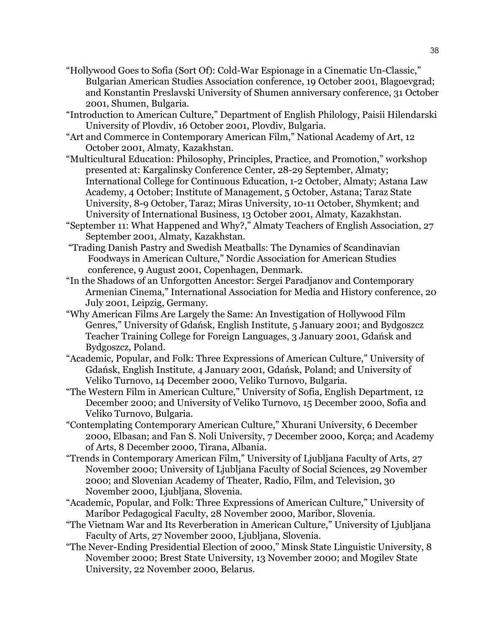- "Hollywood Goes to Sofia (Sort Of): Cold-War Espionage in a Cinematic Un-Classic," Bulgarian American Studies Association conference, 19 October 2001, Blagoevgrad; and Konstantin Preslavski University of Shumen anniversary conference, 31 October 2001, Shumen, Bulgaria.
- "Introduction to American Culture," Department of English Philology, Paisii Hilendarski University of Plovdiv, 16 October 2001, Plovdiv, Bulgaria.
- "Art and Commerce in Contemporary American Film," National Academy of Art, 12 October 2001, Almaty, Kazakhstan.
- "Multicultural Education: Philosophy, Principles, Practice, and Promotion," workshop presented at: Kargalinsky Conference Center, 28-29 September, Almaty; International College for Continuous Education, 1-2 October, Almaty; Astana Law Academy, 4 October; Institute of Management, 5 October, Astana; Taraz State University, 8-9 October, Taraz; Miras University, 10-11 October, Shymkent; and University of International Business, 13 October 2001, Almaty, Kazakhstan.
- "September 11: What Happened and Why?," Almaty Teachers of English Association, 27 September 2001, Almaty, Kazakhstan.
- "Trading Danish Pastry and Swedish Meatballs: The Dynamics of Scandinavian Foodways in American Culture," Nordic Association for American Studies conference, 9 August 2001, Copenhagen, Denmark.
- "In the Shadows of an Unforgotten Ancestor: Sergei Paradjanov and Contemporary Armenian Cinema," International Association for Media and History conference, 20 July 2001, Leipzig, Germany.
- "Why American Films Are Largely the Same: An Investigation of Hollywood Film Genres," University of Gdańsk, English Institute, 5 January 2001; and Bydgoszcz Teacher Training College for Foreign Languages, 3 January 2001, Gdańsk and Bydgoszcz, Poland.
- "Academic, Popular, and Folk: Three Expressions of American Culture," University of Gdańsk, English Institute, 4 January 2001, Gdańsk, Poland; and University of Veliko Turnovo, 14 December 2000, Veliko Turnovo, Bulgaria.
- "The Western Film in American Culture," University of Sofia, English Department, 12 December 2000; and University of Veliko Turnovo, 15 December 2000, Sofia and Veliko Turnovo, Bulgaria.
- "Contemplating Contemporary American Culture," Xhurani University, 6 December 2000, Elbasan; and Fan S. Noli University, 7 December 2000, Korça; and Academy of Arts, 8 December 2000, Tirana, Albania.
- "Trends in Contemporary American Film," University of Ljubljana Faculty of Arts, 27 November 2000; University of Ljubljana Faculty of Social Sciences, 29 November 2000; and Slovenian Academy of Theater, Radio, Film, and Television, 30 November 2000, Ljubljana, Slovenia.
- "Academic, Popular, and Folk: Three Expressions of American Culture," University of Maribor Pedagogical Faculty, 28 November 2000, Maribor, Slovenia.
- "The Vietnam War and Its Reverberation in American Culture," University of Ljubljana Faculty of Arts, 27 November 2000, Ljubljana, Slovenia.
- "The Never-Ending Presidential Election of 2000," Minsk State Linguistic University, 8 November 2000; Brest State University, 13 November 2000; and Mogilev State University, 22 November 2000, Belarus.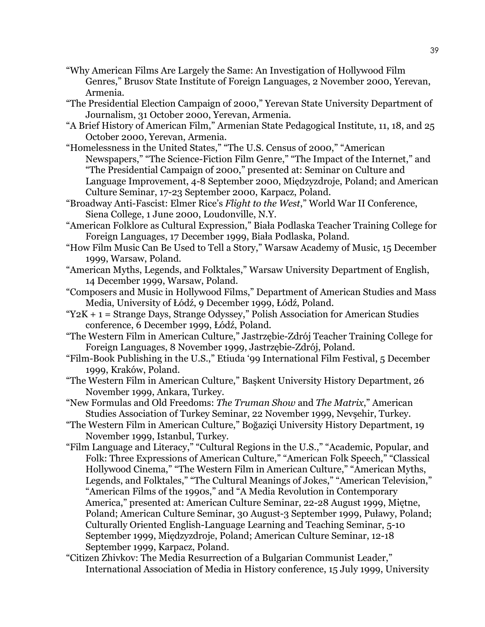- "Why American Films Are Largely the Same: An Investigation of Hollywood Film Genres," Brusov State Institute of Foreign Languages, 2 November 2000, Yerevan, Armenia.
- "The Presidential Election Campaign of 2000," Yerevan State University Department of Journalism, 31 October 2000, Yerevan, Armenia.
- "A Brief History of American Film," Armenian State Pedagogical Institute, 11, 18, and 25 October 2000, Yerevan, Armenia.
- "Homelessness in the United States," "The U.S. Census of 2000," "American Newspapers," "The Science-Fiction Film Genre," "The Impact of the Internet," and "The Presidential Campaign of 2000," presented at: Seminar on Culture and Language Improvement, 4-8 September 2000, Międzyzdroje, Poland; and American Culture Seminar, 17-23 September 2000, Karpacz, Poland.
- "Broadway Anti-Fascist: Elmer Rice's *Flight to the West*," World War II Conference, Siena College, 1 June 2000, Loudonville, N.Y.
- "American Folklore as Cultural Expression," Biała Podlaska Teacher Training College for Foreign Languages, 17 December 1999, Biała Podlaska, Poland.
- "How Film Music Can Be Used to Tell a Story," Warsaw Academy of Music, 15 December 1999, Warsaw, Poland.
- "American Myths, Legends, and Folktales," Warsaw University Department of English, 14 December 1999, Warsaw, Poland.
- "Composers and Music in Hollywood Films," Department of American Studies and Mass Media, University of Łódź, 9 December 1999, Łódź, Poland.
- " $Y2K + 1 =$  Strange Days, Strange Odyssey," Polish Association for American Studies conference, 6 December 1999, Łódź, Poland.
- "The Western Film in American Culture," Jastrzębie-Zdrój Teacher Training College for Foreign Languages, 8 November 1999, Jastrzębie-Zdrój, Poland.
- "Film-Book Publishing in the U.S.," Etiuda '99 International Film Festival, 5 December 1999, Kraków, Poland.
- "The Western Film in American Culture," Başkent University History Department, 26 November 1999, Ankara, Turkey.
- "New Formulas and Old Freedoms: *The Truman Show* and *The Matrix*," American Studies Association of Turkey Seminar, 22 November 1999, Nevşehir, Turkey.
- "The Western Film in American Culture," Boğaziçi University History Department, 19 November 1999, Istanbul, Turkey.
- "Film Language and Literacy," "Cultural Regions in the U.S.," "Academic, Popular, and Folk: Three Expressions of American Culture," "American Folk Speech," "Classical Hollywood Cinema," "The Western Film in American Culture," "American Myths, Legends, and Folktales," "The Cultural Meanings of Jokes," "American Television," "American Films of the 1990s," and "A Media Revolution in Contemporary America," presented at: American Culture Seminar, 22-28 August 1999, Miętne, Poland; American Culture Seminar, 30 August-3 September 1999, Puławy, Poland; Culturally Oriented English-Language Learning and Teaching Seminar, 5-10 September 1999, Międzyzdroje, Poland; American Culture Seminar, 12-18 September 1999, Karpacz, Poland.
- "Citizen Zhivkov: The Media Resurrection of a Bulgarian Communist Leader," International Association of Media in History conference, 15 July 1999, University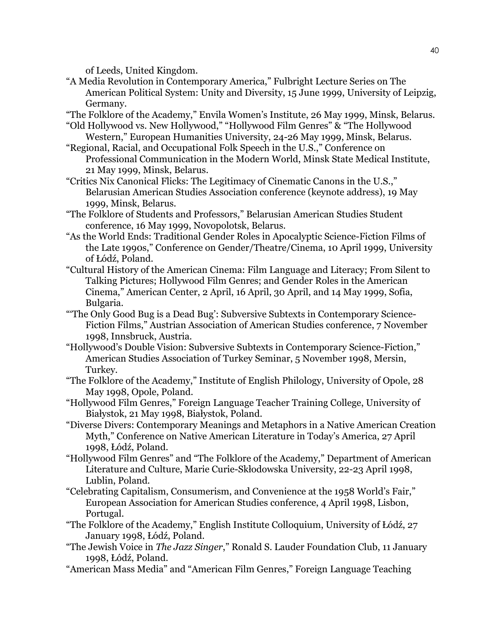of Leeds, United Kingdom.

- "A Media Revolution in Contemporary America," Fulbright Lecture Series on The American Political System: Unity and Diversity, 15 June 1999, University of Leipzig, Germany.
- "The Folklore of the Academy," Envila Women's Institute, 26 May 1999, Minsk, Belarus.
- "Old Hollywood vs. New Hollywood," "Hollywood Film Genres" & "The Hollywood Western," European Humanities University, 24-26 May 1999, Minsk, Belarus.
- "Regional, Racial, and Occupational Folk Speech in the U.S.," Conference on Professional Communication in the Modern World, Minsk State Medical Institute, 21 May 1999, Minsk, Belarus.
- "Critics Nix Canonical Flicks: The Legitimacy of Cinematic Canons in the U.S.," Belarusian American Studies Association conference (keynote address), 19 May 1999, Minsk, Belarus.
- "The Folklore of Students and Professors," Belarusian American Studies Student conference, 16 May 1999, Novopolotsk, Belarus.
- "As the World Ends: Traditional Gender Roles in Apocalyptic Science-Fiction Films of the Late 1990s," Conference on Gender/Theatre/Cinema, 10 April 1999, University of Łódź, Poland.
- "Cultural History of the American Cinema: Film Language and Literacy; From Silent to Talking Pictures; Hollywood Film Genres; and Gender Roles in the American Cinema," American Center, 2 April, 16 April, 30 April, and 14 May 1999, Sofia, Bulgaria.
- "'The Only Good Bug is a Dead Bug': Subversive Subtexts in Contemporary Science-Fiction Films," Austrian Association of American Studies conference, 7 November 1998, Innsbruck, Austria.
- "Hollywood's Double Vision: Subversive Subtexts in Contemporary Science-Fiction," American Studies Association of Turkey Seminar, 5 November 1998, Mersin, Turkey.
- "The Folklore of the Academy," Institute of English Philology, University of Opole, 28 May 1998, Opole, Poland.
- "Hollywood Film Genres," Foreign Language Teacher Training College, University of Białystok, 21 May 1998, Białystok, Poland.
- "Diverse Divers: Contemporary Meanings and Metaphors in a Native American Creation Myth," Conference on Native American Literature in Today's America, 27 April 1998, Łódź, Poland.
- "Hollywood Film Genres" and "The Folklore of the Academy," Department of American Literature and Culture, Marie Curie-Skłodowska University, 22-23 April 1998, Lublin, Poland.
- "Celebrating Capitalism, Consumerism, and Convenience at the 1958 World's Fair," European Association for American Studies conference, 4 April 1998, Lisbon, Portugal.
- "The Folklore of the Academy," English Institute Colloquium, University of Łódź, 27 January 1998, Łódź, Poland.
- "The Jewish Voice in *The Jazz Singer*," Ronald S. Lauder Foundation Club, 11 January 1998, Łódź, Poland.
- "American Mass Media" and "American Film Genres," Foreign Language Teaching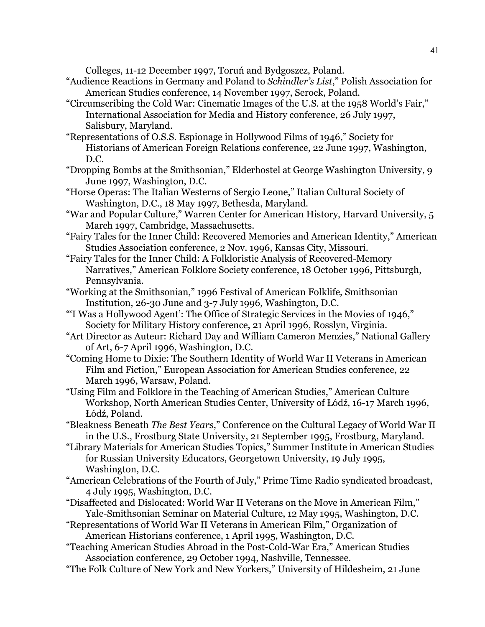Colleges, 11-12 December 1997, Toruń and Bydgoszcz, Poland.

- "Audience Reactions in Germany and Poland to *Schindler's List*," Polish Association for American Studies conference, 14 November 1997, Serock, Poland.
- "Circumscribing the Cold War: Cinematic Images of the U.S. at the 1958 World's Fair," International Association for Media and History conference, 26 July 1997, Salisbury, Maryland.
- "Representations of O.S.S. Espionage in Hollywood Films of 1946," Society for Historians of American Foreign Relations conference, 22 June 1997, Washington, D.C.
- "Dropping Bombs at the Smithsonian," Elderhostel at George Washington University, 9 June 1997, Washington, D.C.
- "Horse Operas: The Italian Westerns of Sergio Leone," Italian Cultural Society of Washington, D.C., 18 May 1997, Bethesda, Maryland.
- "War and Popular Culture," Warren Center for American History, Harvard University, 5 March 1997, Cambridge, Massachusetts.
- "Fairy Tales for the Inner Child: Recovered Memories and American Identity," American Studies Association conference, 2 Nov. 1996, Kansas City, Missouri.
- "Fairy Tales for the Inner Child: A Folkloristic Analysis of Recovered-Memory Narratives," American Folklore Society conference, 18 October 1996, Pittsburgh, Pennsylvania.
- "Working at the Smithsonian," 1996 Festival of American Folklife, Smithsonian Institution, 26-30 June and 3-7 July 1996, Washington, D.C.
- "'I Was a Hollywood Agent': The Office of Strategic Services in the Movies of 1946," Society for Military History conference, 21 April 1996, Rosslyn, Virginia.
- "Art Director as Auteur: Richard Day and William Cameron Menzies," National Gallery of Art, 6-7 April 1996, Washington, D.C.
- "Coming Home to Dixie: The Southern Identity of World War II Veterans in American Film and Fiction," European Association for American Studies conference, 22 March 1996, Warsaw, Poland.
- "Using Film and Folklore in the Teaching of American Studies," American Culture Workshop, North American Studies Center, University of Łódź, 16-17 March 1996, Łódź, Poland.
- "Bleakness Beneath *The Best Years*," Conference on the Cultural Legacy of World War II in the U.S., Frostburg State University, 21 September 1995, Frostburg, Maryland.
- "Library Materials for American Studies Topics," Summer Institute in American Studies for Russian University Educators, Georgetown University, 19 July 1995, Washington, D.C.
- "American Celebrations of the Fourth of July," Prime Time Radio syndicated broadcast, 4 July 1995, Washington, D.C.
- "Disaffected and Dislocated: World War II Veterans on the Move in American Film," Yale-Smithsonian Seminar on Material Culture, 12 May 1995, Washington, D.C.
- "Representations of World War II Veterans in American Film," Organization of American Historians conference, 1 April 1995, Washington, D.C.
- "Teaching American Studies Abroad in the Post-Cold-War Era," American Studies Association conference, 29 October 1994, Nashville, Tennessee.
- "The Folk Culture of New York and New Yorkers," University of Hildesheim, 21 June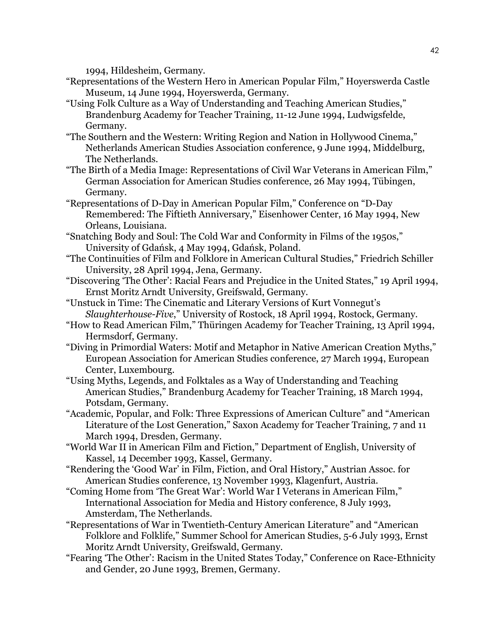1994, Hildesheim, Germany.

- "Representations of the Western Hero in American Popular Film," Hoyerswerda Castle Museum, 14 June 1994, Hoyerswerda, Germany.
- "Using Folk Culture as a Way of Understanding and Teaching American Studies," Brandenburg Academy for Teacher Training, 11-12 June 1994, Ludwigsfelde, Germany.
- "The Southern and the Western: Writing Region and Nation in Hollywood Cinema," Netherlands American Studies Association conference, 9 June 1994, Middelburg, The Netherlands.
- "The Birth of a Media Image: Representations of Civil War Veterans in American Film," German Association for American Studies conference, 26 May 1994, Tübingen, Germany.
- "Representations of D-Day in American Popular Film," Conference on "D-Day Remembered: The Fiftieth Anniversary," Eisenhower Center, 16 May 1994, New Orleans, Louisiana.
- "Snatching Body and Soul: The Cold War and Conformity in Films of the 1950s," University of Gdańsk, 4 May 1994, Gdańsk, Poland.
- "The Continuities of Film and Folklore in American Cultural Studies," Friedrich Schiller University, 28 April 1994, Jena, Germany.
- "Discovering 'The Other': Racial Fears and Prejudice in the United States," 19 April 1994, Ernst Moritz Arndt University, Greifswald, Germany.
- "Unstuck in Time: The Cinematic and Literary Versions of Kurt Vonnegut's *Slaughterhouse-Five*," University of Rostock, 18 April 1994, Rostock, Germany.
- "How to Read American Film," Thüringen Academy for Teacher Training, 13 April 1994, Hermsdorf, Germany.
- "Diving in Primordial Waters: Motif and Metaphor in Native American Creation Myths," European Association for American Studies conference, 27 March 1994, European Center, Luxembourg.
- "Using Myths, Legends, and Folktales as a Way of Understanding and Teaching American Studies," Brandenburg Academy for Teacher Training, 18 March 1994, Potsdam, Germany.
- "Academic, Popular, and Folk: Three Expressions of American Culture" and "American Literature of the Lost Generation," Saxon Academy for Teacher Training, 7 and 11 March 1994, Dresden, Germany.
- "World War II in American Film and Fiction," Department of English, University of Kassel, 14 December 1993, Kassel, Germany.
- "Rendering the 'Good War' in Film, Fiction, and Oral History," Austrian Assoc. for American Studies conference, 13 November 1993, Klagenfurt, Austria.
- "Coming Home from 'The Great War': World War I Veterans in American Film," International Association for Media and History conference, 8 July 1993, Amsterdam, The Netherlands.
- "Representations of War in Twentieth-Century American Literature" and "American Folklore and Folklife," Summer School for American Studies, 5-6 July 1993, Ernst Moritz Arndt University, Greifswald, Germany.
- "Fearing 'The Other': Racism in the United States Today," Conference on Race-Ethnicity and Gender, 20 June 1993, Bremen, Germany.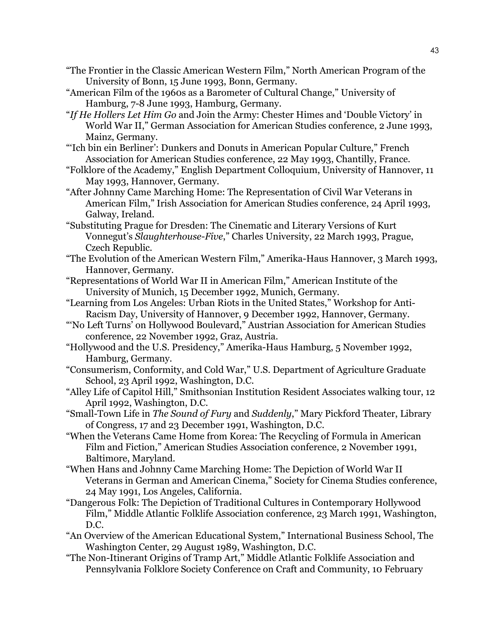- "The Frontier in the Classic American Western Film," North American Program of the University of Bonn, 15 June 1993, Bonn, Germany.
- "American Film of the 1960s as a Barometer of Cultural Change," University of Hamburg, 7-8 June 1993, Hamburg, Germany.
- "*If He Hollers Let Him Go* and Join the Army: Chester Himes and 'Double Victory' in World War II," German Association for American Studies conference, 2 June 1993, Mainz, Germany.
- "'Ich bin ein Berliner': Dunkers and Donuts in American Popular Culture," French Association for American Studies conference, 22 May 1993, Chantilly, France.
- "Folklore of the Academy," English Department Colloquium, University of Hannover, 11 May 1993, Hannover, Germany.
- "After Johnny Came Marching Home: The Representation of Civil War Veterans in American Film," Irish Association for American Studies conference, 24 April 1993, Galway, Ireland.
- "Substituting Prague for Dresden: The Cinematic and Literary Versions of Kurt Vonnegut's *Slaughterhouse-Five*," Charles University, 22 March 1993, Prague, Czech Republic.
- "The Evolution of the American Western Film," Amerika-Haus Hannover, 3 March 1993, Hannover, Germany.
- "Representations of World War II in American Film," American Institute of the University of Munich, 15 December 1992, Munich, Germany.
- "Learning from Los Angeles: Urban Riots in the United States," Workshop for Anti-Racism Day, University of Hannover, 9 December 1992, Hannover, Germany.
- "'No Left Turns' on Hollywood Boulevard," Austrian Association for American Studies conference, 22 November 1992, Graz, Austria.
- "Hollywood and the U.S. Presidency," Amerika-Haus Hamburg, 5 November 1992, Hamburg, Germany.
- "Consumerism, Conformity, and Cold War," U.S. Department of Agriculture Graduate School, 23 April 1992, Washington, D.C.
- "Alley Life of Capitol Hill," Smithsonian Institution Resident Associates walking tour, 12 April 1992, Washington, D.C.
- "Small-Town Life in *The Sound of Fury* and *Suddenly*," Mary Pickford Theater, Library of Congress, 17 and 23 December 1991, Washington, D.C.
- "When the Veterans Came Home from Korea: The Recycling of Formula in American Film and Fiction," American Studies Association conference, 2 November 1991, Baltimore, Maryland.
- "When Hans and Johnny Came Marching Home: The Depiction of World War II Veterans in German and American Cinema," Society for Cinema Studies conference, 24 May 1991, Los Angeles, California.
- "Dangerous Folk: The Depiction of Traditional Cultures in Contemporary Hollywood Film," Middle Atlantic Folklife Association conference, 23 March 1991, Washington, D.C.
- "An Overview of the American Educational System," International Business School, The Washington Center, 29 August 1989, Washington, D.C.
- "The Non-Itinerant Origins of Tramp Art," Middle Atlantic Folklife Association and Pennsylvania Folklore Society Conference on Craft and Community, 10 February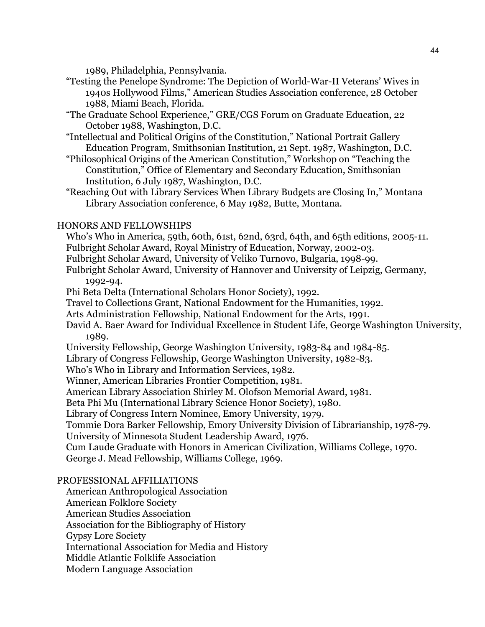1989, Philadelphia, Pennsylvania.

- "Testing the Penelope Syndrome: The Depiction of World-War-II Veterans' Wives in 1940s Hollywood Films," American Studies Association conference, 28 October 1988, Miami Beach, Florida.
- "The Graduate School Experience," GRE/CGS Forum on Graduate Education, 22 October 1988, Washington, D.C.
- "Intellectual and Political Origins of the Constitution," National Portrait Gallery Education Program, Smithsonian Institution, 21 Sept. 1987, Washington, D.C.
- "Philosophical Origins of the American Constitution," Workshop on "Teaching the Constitution," Office of Elementary and Secondary Education, Smithsonian Institution, 6 July 1987, Washington, D.C.
- "Reaching Out with Library Services When Library Budgets are Closing In," Montana Library Association conference, 6 May 1982, Butte, Montana.

## HONORS AND FELLOWSHIPS

 Who's Who in America, 59th, 60th, 61st, 62nd, 63rd, 64th, and 65th editions, 2005-11. Fulbright Scholar Award, Royal Ministry of Education, Norway, 2002-03.

- Fulbright Scholar Award, University of Veliko Turnovo, Bulgaria, 1998-99.
- Fulbright Scholar Award, University of Hannover and University of Leipzig, Germany, 1992-94.
- Phi Beta Delta (International Scholars Honor Society), 1992.
- Travel to Collections Grant, National Endowment for the Humanities, 1992.
- Arts Administration Fellowship, National Endowment for the Arts, 1991.
- David A. Baer Award for Individual Excellence in Student Life, George Washington University, 1989.
- University Fellowship, George Washington University, 1983-84 and 1984-85.
- Library of Congress Fellowship, George Washington University, 1982-83.
- Who's Who in Library and Information Services, 1982.
- Winner, American Libraries Frontier Competition, 1981.
- American Library Association Shirley M. Olofson Memorial Award, 1981.

Beta Phi Mu (International Library Science Honor Society), 1980.

Library of Congress Intern Nominee, Emory University, 1979.

Tommie Dora Barker Fellowship, Emory University Division of Librarianship, 1978-79.

University of Minnesota Student Leadership Award, 1976.

 Cum Laude Graduate with Honors in American Civilization, Williams College, 1970. George J. Mead Fellowship, Williams College, 1969.

# PROFESSIONAL AFFILIATIONS

American Anthropological Association

American Folklore Society

American Studies Association

Association for the Bibliography of History

Gypsy Lore Society

International Association for Media and History

Middle Atlantic Folklife Association

Modern Language Association